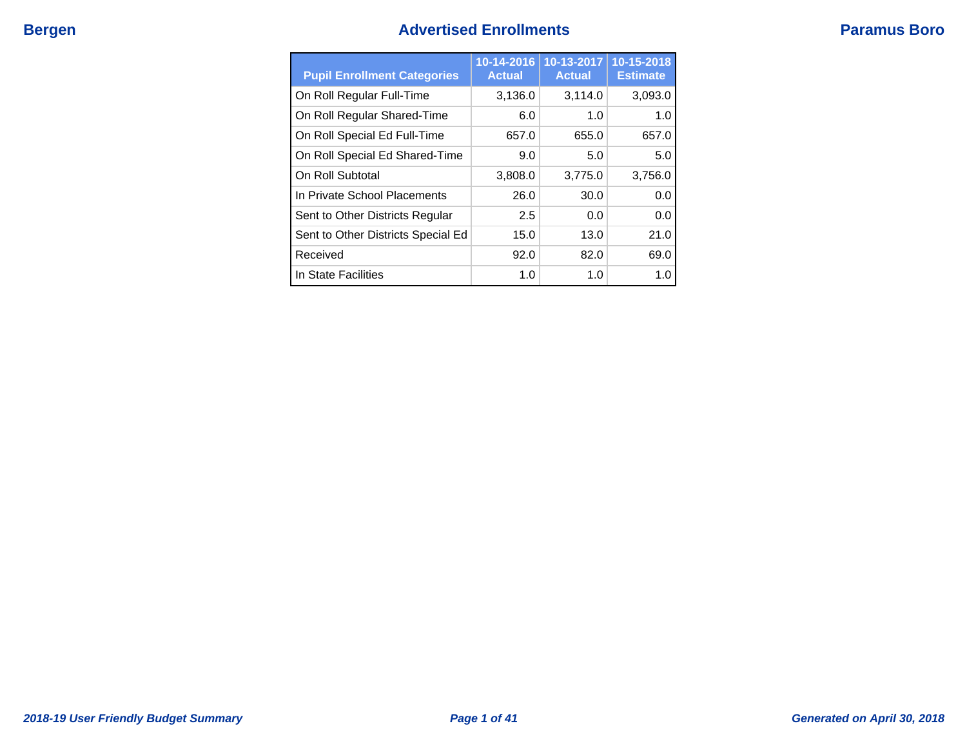# **Bergen Advertised Enrollments Paramus Boro**

| <b>Pupil Enrollment Categories</b> | 10-14-2016<br><b>Actual</b> | 10-13-2017<br><b>Actual</b> | 10-15-2018<br><b>Estimate</b> |
|------------------------------------|-----------------------------|-----------------------------|-------------------------------|
| On Roll Regular Full-Time          | 3,136.0                     | 3,114.0                     | 3,093.0                       |
| On Roll Regular Shared-Time        | 6.0                         | 1.0                         | 1.0                           |
| On Roll Special Ed Full-Time       | 657.0                       | 655.0                       | 657.0                         |
| On Roll Special Ed Shared-Time     | 9.0                         | 5.0                         | 5.0                           |
| On Roll Subtotal                   | 3,808.0                     | 3,775.0                     | 3,756.0                       |
| In Private School Placements       | 26.0                        | 30.0                        | 0.0                           |
| Sent to Other Districts Regular    | 2.5                         | 0.0                         | 0.0                           |
| Sent to Other Districts Special Ed | 15.0                        | 13.0                        | 21.0                          |
| Received                           | 92.0                        | 82.0                        | 69.0                          |
| In State Facilities                | 1.0                         | 1.0                         | 1.0                           |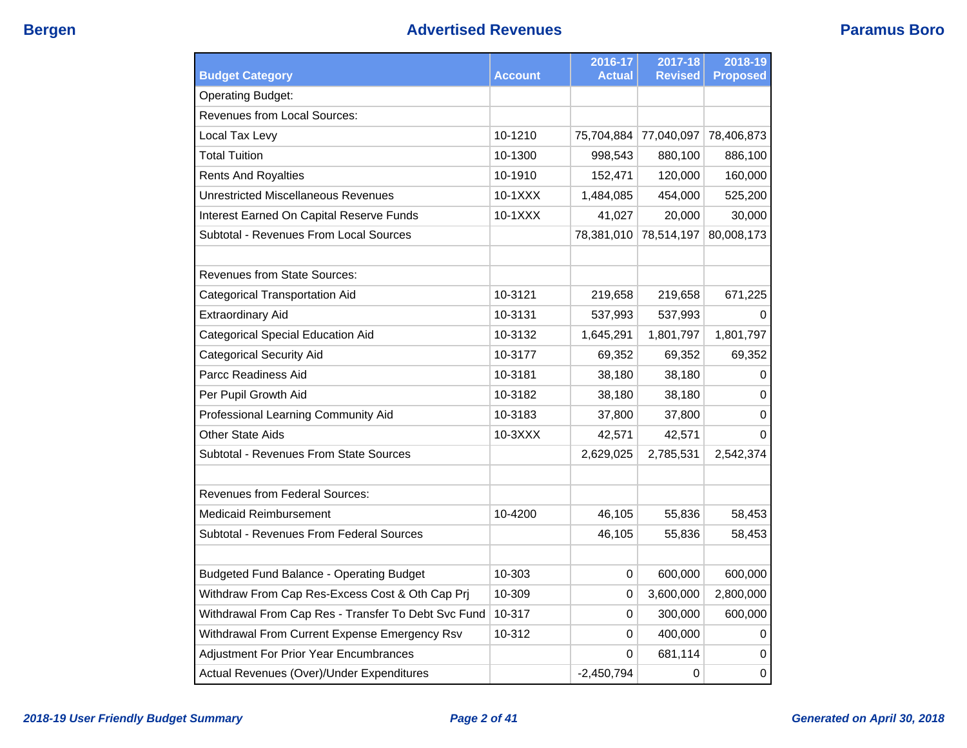|                                                     |                | 2016-17       | 2017-18        | 2018-19         |
|-----------------------------------------------------|----------------|---------------|----------------|-----------------|
| <b>Budget Category</b>                              | <b>Account</b> | <b>Actual</b> | <b>Revised</b> | <b>Proposed</b> |
| <b>Operating Budget:</b>                            |                |               |                |                 |
| Revenues from Local Sources:                        |                |               |                |                 |
| Local Tax Levy                                      | 10-1210        | 75,704,884    | 77,040,097     | 78,406,873      |
| <b>Total Tuition</b>                                | 10-1300        | 998,543       | 880,100        | 886,100         |
| <b>Rents And Royalties</b>                          | 10-1910        | 152,471       | 120,000        | 160,000         |
| <b>Unrestricted Miscellaneous Revenues</b>          | 10-1XXX        | 1,484,085     | 454,000        | 525,200         |
| Interest Earned On Capital Reserve Funds            | $10-1XXX$      | 41,027        | 20,000         | 30,000          |
| Subtotal - Revenues From Local Sources              |                | 78,381,010    | 78,514,197     | 80,008,173      |
|                                                     |                |               |                |                 |
| <b>Revenues from State Sources:</b>                 |                |               |                |                 |
| Categorical Transportation Aid                      | 10-3121        | 219,658       | 219,658        | 671,225         |
| <b>Extraordinary Aid</b>                            | 10-3131        | 537,993       | 537,993        | 0               |
| Categorical Special Education Aid                   | 10-3132        | 1,645,291     | 1,801,797      | 1,801,797       |
| <b>Categorical Security Aid</b>                     | 10-3177        | 69,352        | 69,352         | 69,352          |
| Parcc Readiness Aid                                 | 10-3181        | 38,180        | 38,180         | 0               |
| Per Pupil Growth Aid                                | 10-3182        | 38,180        | 38,180         | $\Omega$        |
| Professional Learning Community Aid                 | 10-3183        | 37,800        | 37,800         | 0               |
| <b>Other State Aids</b>                             | 10-3XXX        | 42,571        | 42,571         | $\Omega$        |
| Subtotal - Revenues From State Sources              |                | 2,629,025     | 2,785,531      | 2,542,374       |
| Revenues from Federal Sources:                      |                |               |                |                 |
| Medicaid Reimbursement                              | 10-4200        | 46,105        | 55,836         | 58,453          |
| Subtotal - Revenues From Federal Sources            |                | 46,105        | 55,836         | 58,453          |
|                                                     |                |               |                |                 |
| <b>Budgeted Fund Balance - Operating Budget</b>     | 10-303         | 0             | 600,000        | 600,000         |
| Withdraw From Cap Res-Excess Cost & Oth Cap Prj     | 10-309         | 0             | 3,600,000      | 2,800,000       |
| Withdrawal From Cap Res - Transfer To Debt Svc Fund | 10-317         | 0             | 300,000        | 600,000         |
| Withdrawal From Current Expense Emergency Rsv       | 10-312         | 0             | 400,000        | 0               |
| <b>Adjustment For Prior Year Encumbrances</b>       |                | 0             | 681,114        | 0               |
| Actual Revenues (Over)/Under Expenditures           |                | $-2,450,794$  | 0              | $\pmb{0}$       |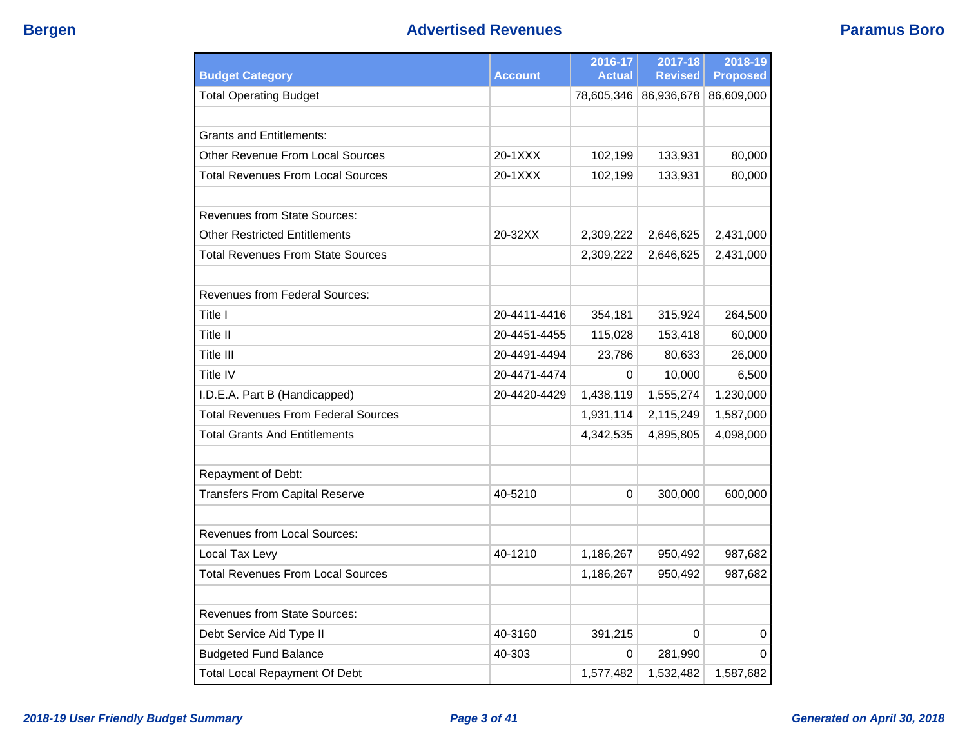| <b>Budget Category</b>                     | <b>Account</b> | 2016-17<br><b>Actual</b> | 2017-18<br><b>Revised</b> | 2018-19<br><b>Proposed</b> |
|--------------------------------------------|----------------|--------------------------|---------------------------|----------------------------|
| <b>Total Operating Budget</b>              |                | 78,605,346               | 86,936,678                | 86,609,000                 |
|                                            |                |                          |                           |                            |
| Grants and Entitlements:                   |                |                          |                           |                            |
| Other Revenue From Local Sources           | 20-1XXX        | 102,199                  | 133,931                   | 80,000                     |
| Total Revenues From Local Sources          | 20-1XXX        | 102,199                  | 133,931                   | 80,000                     |
| <b>Revenues from State Sources:</b>        |                |                          |                           |                            |
| <b>Other Restricted Entitlements</b>       | 20-32XX        | 2,309,222                | 2,646,625                 | 2,431,000                  |
| <b>Total Revenues From State Sources</b>   |                | 2,309,222                | 2,646,625                 | 2,431,000                  |
| Revenues from Federal Sources:             |                |                          |                           |                            |
| Title I                                    | 20-4411-4416   | 354,181                  | 315,924                   | 264,500                    |
| Title II                                   | 20-4451-4455   | 115,028                  | 153,418                   | 60,000                     |
| Title III                                  | 20-4491-4494   | 23,786                   | 80,633                    | 26,000                     |
| Title IV                                   | 20-4471-4474   | 0                        | 10,000                    | 6,500                      |
| I.D.E.A. Part B (Handicapped)              | 20-4420-4429   | 1,438,119                | 1,555,274                 | 1,230,000                  |
| <b>Total Revenues From Federal Sources</b> |                | 1,931,114                | 2,115,249                 | 1,587,000                  |
| <b>Total Grants And Entitlements</b>       |                | 4,342,535                | 4,895,805                 | 4,098,000                  |
| Repayment of Debt:                         |                |                          |                           |                            |
| <b>Transfers From Capital Reserve</b>      | 40-5210        | 0                        | 300,000                   | 600,000                    |
| Revenues from Local Sources:               |                |                          |                           |                            |
| Local Tax Levy                             | 40-1210        | 1,186,267                | 950,492                   | 987,682                    |
| <b>Total Revenues From Local Sources</b>   |                | 1,186,267                | 950,492                   | 987,682                    |
| <b>Revenues from State Sources:</b>        |                |                          |                           |                            |
| Debt Service Aid Type II                   | 40-3160        | 391,215                  | 0                         | 0                          |
| <b>Budgeted Fund Balance</b>               | 40-303         | 0                        | 281,990                   | 0                          |
| <b>Total Local Repayment Of Debt</b>       |                | 1,577,482                | 1,532,482                 | 1,587,682                  |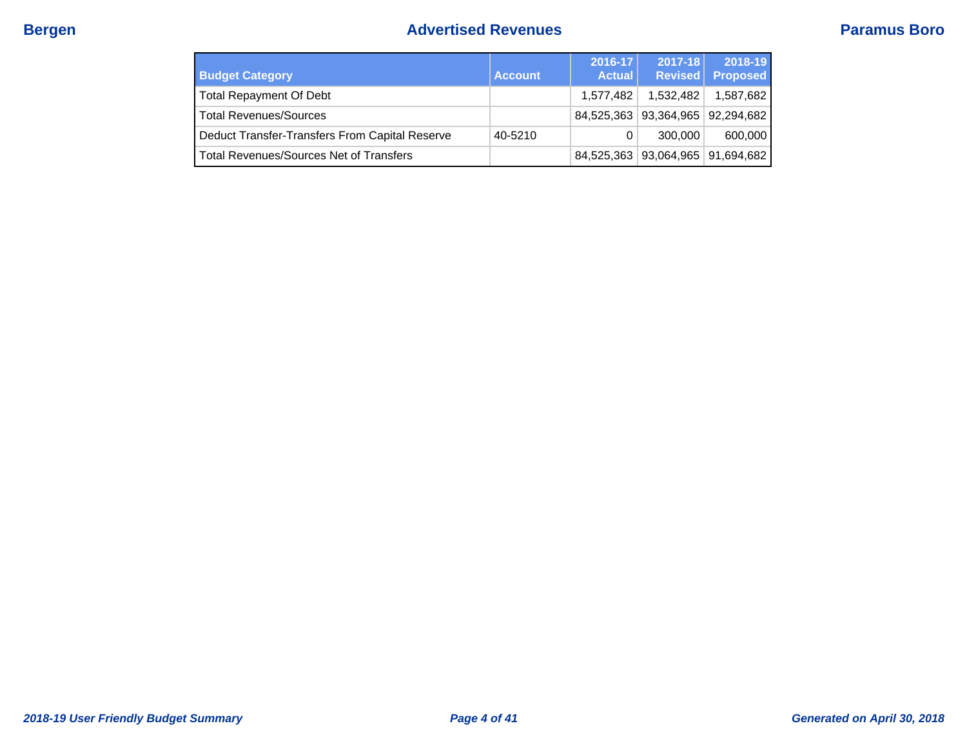# **Bergen Bergen Paramus Boro Advertised Revenues Paramus Boro**

| <b>Budget Category</b>                         | <b>Account</b> | 2016-17<br><b>Actual</b> | $2017 - 18$                      | 2018-19<br>Revised Proposed |
|------------------------------------------------|----------------|--------------------------|----------------------------------|-----------------------------|
| <b>Total Repayment Of Debt</b>                 |                | 1.577.482                | 1,532,482                        | 1,587,682                   |
| <b>Total Revenues/Sources</b>                  |                |                          | 84,525,363 93,364,965 92,294,682 |                             |
| Deduct Transfer-Transfers From Capital Reserve | 40-5210        | 0                        | 300,000                          | 600,000                     |
| <b>Total Revenues/Sources Net of Transfers</b> |                |                          | 84,525,363 93,064,965 91,694,682 |                             |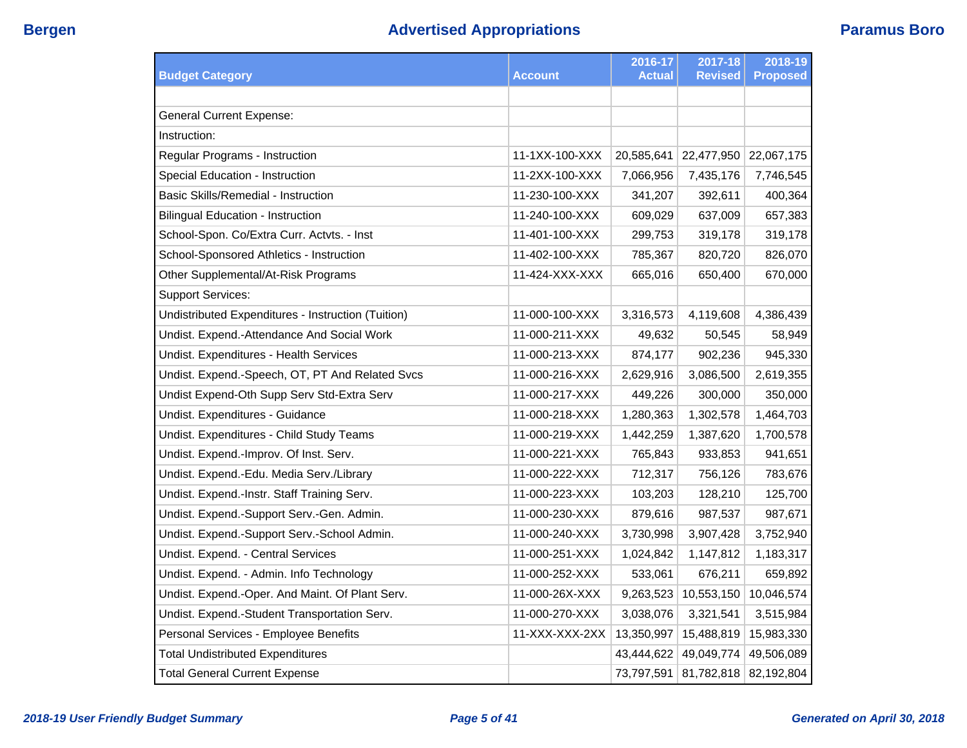| <b>Budget Category</b>                             | Account        | 2016-17<br><b>Actual</b> | 2017-18<br><b>Revised</b> | 2018-19<br><b>Proposed</b> |
|----------------------------------------------------|----------------|--------------------------|---------------------------|----------------------------|
|                                                    |                |                          |                           |                            |
| <b>General Current Expense:</b>                    |                |                          |                           |                            |
| Instruction:                                       |                |                          |                           |                            |
| Regular Programs - Instruction                     | 11-1XX-100-XXX | 20,585,641               | 22,477,950                | 22,067,175                 |
| Special Education - Instruction                    | 11-2XX-100-XXX | 7,066,956                | 7,435,176                 | 7,746,545                  |
| Basic Skills/Remedial - Instruction                | 11-230-100-XXX | 341,207                  | 392,611                   | 400,364                    |
| <b>Bilingual Education - Instruction</b>           | 11-240-100-XXX | 609,029                  | 637,009                   | 657,383                    |
| School-Spon. Co/Extra Curr. Actvts. - Inst         | 11-401-100-XXX | 299,753                  | 319,178                   | 319,178                    |
| School-Sponsored Athletics - Instruction           | 11-402-100-XXX | 785,367                  | 820,720                   | 826,070                    |
| Other Supplemental/At-Risk Programs                | 11-424-XXX-XXX | 665,016                  | 650,400                   | 670,000                    |
| <b>Support Services:</b>                           |                |                          |                           |                            |
| Undistributed Expenditures - Instruction (Tuition) | 11-000-100-XXX | 3,316,573                | 4,119,608                 | 4,386,439                  |
| Undist. Expend.-Attendance And Social Work         | 11-000-211-XXX | 49,632                   | 50,545                    | 58,949                     |
| Undist. Expenditures - Health Services             | 11-000-213-XXX | 874,177                  | 902,236                   | 945,330                    |
| Undist. Expend.-Speech, OT, PT And Related Svcs    | 11-000-216-XXX | 2,629,916                | 3,086,500                 | 2,619,355                  |
| Undist Expend-Oth Supp Serv Std-Extra Serv         | 11-000-217-XXX | 449,226                  | 300,000                   | 350,000                    |
| Undist. Expenditures - Guidance                    | 11-000-218-XXX | 1,280,363                | 1,302,578                 | 1,464,703                  |
| Undist. Expenditures - Child Study Teams           | 11-000-219-XXX | 1,442,259                | 1,387,620                 | 1,700,578                  |
| Undist. Expend.-Improv. Of Inst. Serv.             | 11-000-221-XXX | 765,843                  | 933,853                   | 941,651                    |
| Undist. Expend.-Edu. Media Serv./Library           | 11-000-222-XXX | 712,317                  | 756,126                   | 783,676                    |
| Undist. Expend.-Instr. Staff Training Serv.        | 11-000-223-XXX | 103,203                  | 128,210                   | 125,700                    |
| Undist. Expend.-Support Serv.-Gen. Admin.          | 11-000-230-XXX | 879,616                  | 987,537                   | 987,671                    |
| Undist. Expend.-Support Serv.-School Admin.        | 11-000-240-XXX | 3,730,998                | 3,907,428                 | 3,752,940                  |
| Undist. Expend. - Central Services                 | 11-000-251-XXX | 1,024,842                | 1,147,812                 | 1,183,317                  |
| Undist. Expend. - Admin. Info Technology           | 11-000-252-XXX | 533,061                  | 676,211                   | 659,892                    |
| Undist. Expend.-Oper. And Maint. Of Plant Serv.    | 11-000-26X-XXX | 9,263,523                | 10,553,150                | 10,046,574                 |
| Undist. Expend.-Student Transportation Serv.       | 11-000-270-XXX | 3,038,076                | 3,321,541                 | 3,515,984                  |
| Personal Services - Employee Benefits              | 11-XXX-XXX-2XX | 13,350,997               | 15,488,819                | 15,983,330                 |
| <b>Total Undistributed Expenditures</b>            |                | 43,444,622               | 49,049,774                | 49,506,089                 |
| <b>Total General Current Expense</b>               |                |                          | 73,797,591 81,782,818     | 82,192,804                 |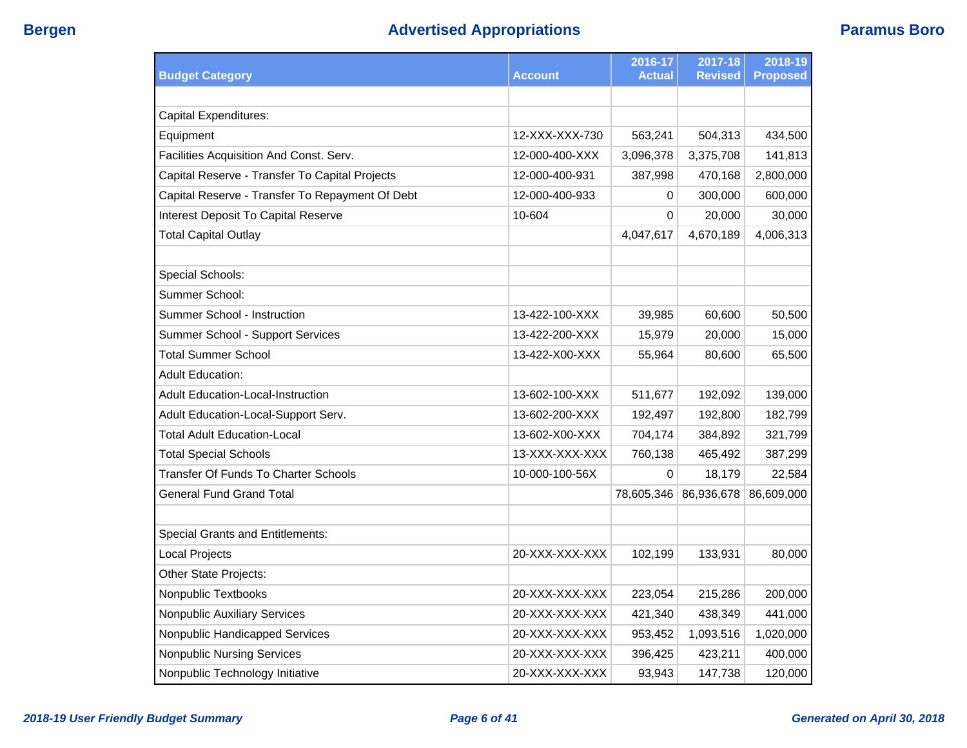| <b>Budget Category</b>                          | <b>Account</b> | 2016-17<br><b>Actual</b> | 2017-18<br><b>Revised</b> | 2018-19<br><b>Proposed</b> |
|-------------------------------------------------|----------------|--------------------------|---------------------------|----------------------------|
|                                                 |                |                          |                           |                            |
| <b>Capital Expenditures:</b>                    |                |                          |                           |                            |
| Equipment                                       | 12-XXX-XXX-730 | 563,241                  | 504,313                   | 434,500                    |
| Facilities Acquisition And Const. Serv.         | 12-000-400-XXX | 3,096,378                | 3,375,708                 | 141,813                    |
| Capital Reserve - Transfer To Capital Projects  | 12-000-400-931 | 387,998                  | 470,168                   | 2,800,000                  |
| Capital Reserve - Transfer To Repayment Of Debt | 12-000-400-933 | 0                        | 300,000                   | 600,000                    |
| Interest Deposit To Capital Reserve             | 10-604         | 0                        | 20,000                    | 30,000                     |
| <b>Total Capital Outlay</b>                     |                | 4,047,617                | 4,670,189                 | 4,006,313                  |
|                                                 |                |                          |                           |                            |
| Special Schools:                                |                |                          |                           |                            |
| Summer School:                                  |                |                          |                           |                            |
| Summer School - Instruction                     | 13-422-100-XXX | 39,985                   | 60,600                    | 50,500                     |
| Summer School - Support Services                | 13-422-200-XXX | 15,979                   | 20,000                    | 15,000                     |
| <b>Total Summer School</b>                      | 13-422-X00-XXX | 55,964                   | 80,600                    | 65,500                     |
| <b>Adult Education:</b>                         |                |                          |                           |                            |
| Adult Education-Local-Instruction               | 13-602-100-XXX | 511,677                  | 192,092                   | 139,000                    |
| Adult Education-Local-Support Serv.             | 13-602-200-XXX | 192,497                  | 192,800                   | 182,799                    |
| <b>Total Adult Education-Local</b>              | 13-602-X00-XXX | 704,174                  | 384,892                   | 321,799                    |
| <b>Total Special Schools</b>                    | 13-XXX-XXX-XXX | 760,138                  | 465,492                   | 387,299                    |
| Transfer Of Funds To Charter Schools            | 10-000-100-56X | 0                        | 18,179                    | 22,584                     |
| <b>General Fund Grand Total</b>                 |                | 78,605,346               | 86,936,678                | 86,609,000                 |
|                                                 |                |                          |                           |                            |
| <b>Special Grants and Entitlements:</b>         |                |                          |                           |                            |
| Local Projects                                  | 20-XXX-XXX-XXX | 102,199                  | 133,931                   | 80,000                     |
| Other State Projects:                           |                |                          |                           |                            |
| Nonpublic Textbooks                             | 20-XXX-XXX-XXX | 223,054                  | 215,286                   | 200,000                    |
| <b>Nonpublic Auxiliary Services</b>             | 20-XXX-XXX-XXX | 421,340                  | 438,349                   | 441,000                    |
| Nonpublic Handicapped Services                  | 20-XXX-XXX-XXX | 953,452                  | 1,093,516                 | 1,020,000                  |
| <b>Nonpublic Nursing Services</b>               | 20-XXX-XXX-XXX | 396,425                  | 423,211                   | 400,000                    |
| Nonpublic Technology Initiative                 | 20-XXX-XXX-XXX | 93,943                   | 147,738                   | 120,000                    |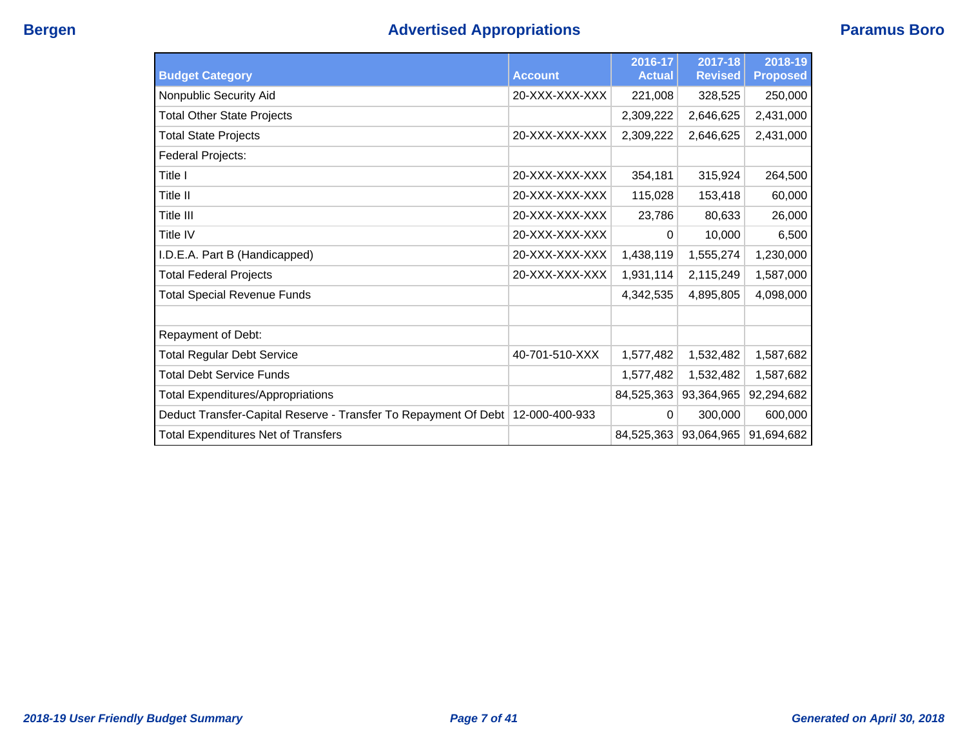| <b>Budget Category</b>                                                         | <b>Account</b> | 2016-17<br><b>Actual</b> | 2017-18<br><b>Revised</b> | 2018-19<br><b>Proposed</b> |
|--------------------------------------------------------------------------------|----------------|--------------------------|---------------------------|----------------------------|
| Nonpublic Security Aid                                                         | 20-XXX-XXX-XXX | 221,008                  | 328,525                   | 250,000                    |
| <b>Total Other State Projects</b>                                              |                | 2,309,222                | 2,646,625                 | 2,431,000                  |
| <b>Total State Projects</b>                                                    | 20-XXX-XXX-XXX | 2,309,222                | 2,646,625                 | 2,431,000                  |
| Federal Projects:                                                              |                |                          |                           |                            |
| Title I                                                                        | 20-XXX-XXX-XXX | 354,181                  | 315,924                   | 264,500                    |
| Title II                                                                       | 20-XXX-XXX-XXX | 115,028                  | 153,418                   | 60,000                     |
| Title III                                                                      | 20-XXX-XXX-XXX | 23,786                   | 80,633                    | 26,000                     |
| Title IV                                                                       | 20-XXX-XXX-XXX | 0                        | 10,000                    | 6,500                      |
| I.D.E.A. Part B (Handicapped)                                                  | 20-XXX-XXX-XXX | 1,438,119                | 1,555,274                 | 1,230,000                  |
| <b>Total Federal Projects</b>                                                  | 20-XXX-XXX-XXX | 1,931,114                | 2,115,249                 | 1,587,000                  |
| <b>Total Special Revenue Funds</b>                                             |                | 4,342,535                | 4,895,805                 | 4,098,000                  |
|                                                                                |                |                          |                           |                            |
| Repayment of Debt:                                                             |                |                          |                           |                            |
| <b>Total Regular Debt Service</b>                                              | 40-701-510-XXX | 1,577,482                | 1,532,482                 | 1,587,682                  |
| <b>Total Debt Service Funds</b>                                                |                | 1,577,482                | 1,532,482                 | 1,587,682                  |
| <b>Total Expenditures/Appropriations</b>                                       |                | 84,525,363               | 93,364,965                | 92,294,682                 |
| Deduct Transfer-Capital Reserve - Transfer To Repayment Of Debt 12-000-400-933 |                | 0                        | 300,000                   | 600,000                    |
| <b>Total Expenditures Net of Transfers</b>                                     |                | 84,525,363               | 93,064,965                | 91,694,682                 |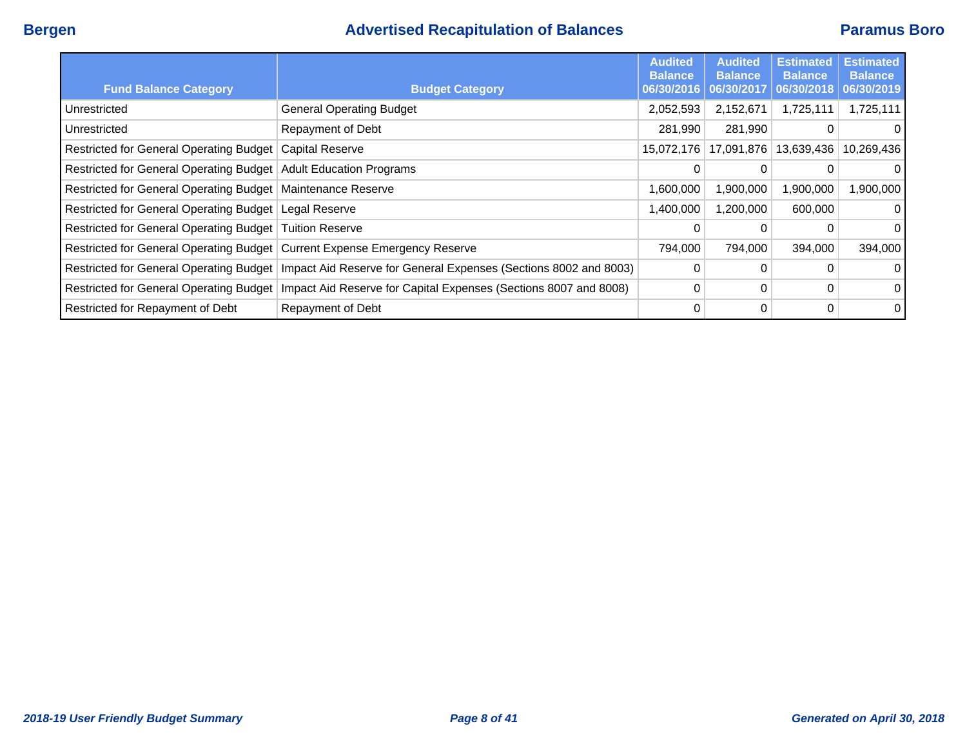## **Bergen Advertised Recapitulation of Balances Paramus Boro**

|                                                                           |                                                                                                            | <b>Audited</b><br><b>Balance</b> | <b>Audited</b><br><b>Balance</b> | <b>Estimated</b><br><b>Balance</b> | <b>Estimated</b><br><b>Balance</b> |
|---------------------------------------------------------------------------|------------------------------------------------------------------------------------------------------------|----------------------------------|----------------------------------|------------------------------------|------------------------------------|
| <b>Fund Balance Category</b>                                              | <b>Budget Category</b>                                                                                     | 06/30/2016                       | 06/30/2017                       | 06/30/2018                         | 06/30/2019                         |
| Unrestricted                                                              | <b>General Operating Budget</b>                                                                            | 2,052,593                        | 2,152,671                        | 1,725,111                          | 1,725,111                          |
| Unrestricted                                                              | Repayment of Debt                                                                                          | 281,990                          | 281,990                          | 0                                  |                                    |
| Restricted for General Operating Budget   Capital Reserve                 |                                                                                                            | 15,072,176                       | 17,091,876                       | 13,639,436                         | 10,269,436                         |
| Restricted for General Operating Budget   Adult Education Programs        |                                                                                                            | 0                                | 0                                | 0                                  |                                    |
| Restricted for General Operating Budget   Maintenance Reserve             |                                                                                                            | 1,600,000                        | 1,900,000                        | 1,900,000                          | 1,900,000                          |
| Restricted for General Operating Budget   Legal Reserve                   |                                                                                                            | 1,400,000                        | 1,200,000                        | 600,000                            | 0                                  |
| Restricted for General Operating Budget   Tuition Reserve                 |                                                                                                            | 0                                |                                  | 0                                  | 0                                  |
| Restricted for General Operating Budget Current Expense Emergency Reserve |                                                                                                            | 794,000                          | 794,000                          | 394,000                            | 394,000                            |
|                                                                           | Restricted for General Operating Budget   Impact Aid Reserve for General Expenses (Sections 8002 and 8003) | 0                                |                                  | 0                                  |                                    |
|                                                                           | Restricted for General Operating Budget   Impact Aid Reserve for Capital Expenses (Sections 8007 and 8008) | 0                                | 0                                | 0                                  | 0                                  |
| Restricted for Repayment of Debt                                          | Repayment of Debt                                                                                          | 0                                | 0                                | 0                                  | 0                                  |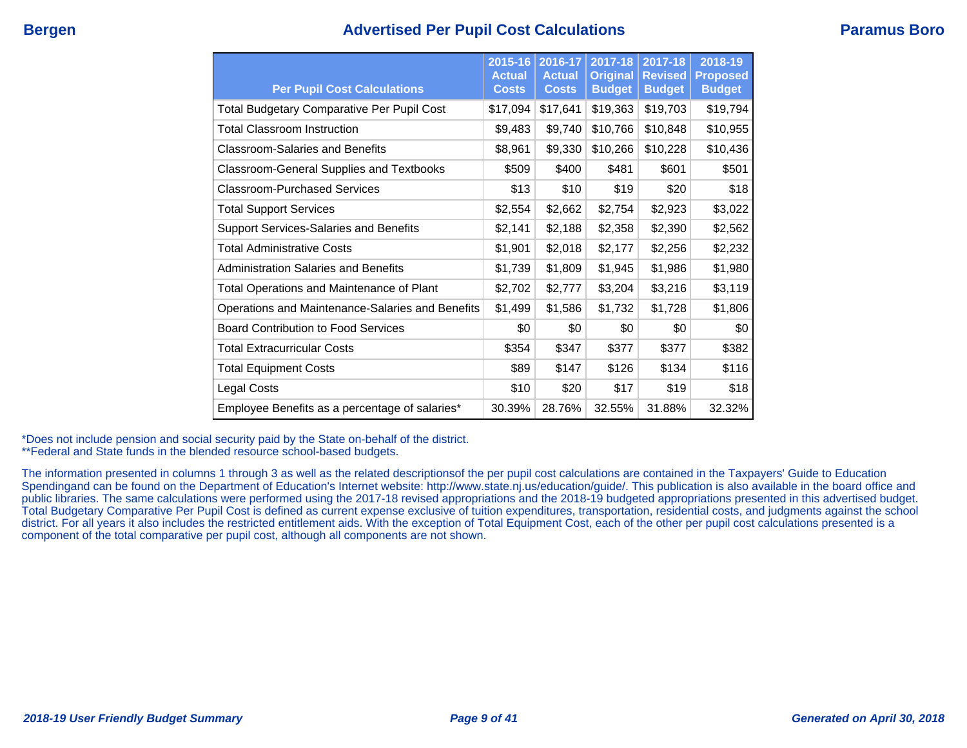## **Bergen Advertised Per Pupil Cost Calculations Paramus Boro**

| <b>Per Pupil Cost Calculations</b>                | 2015-16<br><b>Actual</b><br><b>Costs</b> | 2016-17<br><b>Actual</b><br><b>Costs</b> | 2017-18<br><b>Original</b><br><b>Budget</b> | 2017-18<br><b>Revised</b><br><b>Budget</b> | 2018-19<br><b>Proposed</b><br><b>Budget</b> |
|---------------------------------------------------|------------------------------------------|------------------------------------------|---------------------------------------------|--------------------------------------------|---------------------------------------------|
| <b>Total Budgetary Comparative Per Pupil Cost</b> | \$17,094                                 | \$17,641                                 | \$19,363                                    | \$19,703                                   | \$19,794                                    |
| <b>Total Classroom Instruction</b>                | \$9,483                                  | \$9,740                                  | \$10,766                                    | \$10,848                                   | \$10,955                                    |
| <b>Classroom-Salaries and Benefits</b>            | \$8,961                                  | \$9,330                                  | \$10,266                                    | \$10,228                                   | \$10,436                                    |
| <b>Classroom-General Supplies and Textbooks</b>   | \$509                                    | \$400                                    | \$481                                       | \$601                                      | \$501                                       |
| Classroom-Purchased Services                      | \$13                                     | \$10                                     | \$19                                        | \$20                                       | \$18                                        |
| <b>Total Support Services</b>                     | \$2,554                                  | \$2,662                                  | \$2,754                                     | \$2,923                                    | \$3,022                                     |
| Support Services-Salaries and Benefits            | \$2,141                                  | \$2,188                                  | \$2,358                                     | \$2,390                                    | \$2,562                                     |
| <b>Total Administrative Costs</b>                 | \$1,901                                  | \$2,018                                  | \$2,177                                     | \$2,256                                    | \$2,232                                     |
| <b>Administration Salaries and Benefits</b>       | \$1,739                                  | \$1,809                                  | \$1,945                                     | \$1,986                                    | \$1,980                                     |
| Total Operations and Maintenance of Plant         | \$2,702                                  | \$2,777                                  | \$3,204                                     | \$3,216                                    | \$3,119                                     |
| Operations and Maintenance-Salaries and Benefits  | \$1,499                                  | \$1,586                                  | \$1,732                                     | \$1,728                                    | \$1,806                                     |
| <b>Board Contribution to Food Services</b>        | \$0                                      | \$0                                      | \$0                                         | \$0                                        | \$0                                         |
| <b>Total Extracurricular Costs</b>                | \$354                                    | \$347                                    | \$377                                       | \$377                                      | \$382                                       |
| <b>Total Equipment Costs</b>                      | \$89                                     | \$147                                    | \$126                                       | \$134                                      | \$116                                       |
| Legal Costs                                       | \$10                                     | \$20                                     | \$17                                        | \$19                                       | \$18                                        |
| Employee Benefits as a percentage of salaries*    | 30.39%                                   | 28.76%                                   | 32.55%                                      | 31.88%                                     | 32.32%                                      |

\*Does not include pension and social security paid by the State on-behalf of the district.

\*\*Federal and State funds in the blended resource school-based budgets.

The information presented in columns 1 through 3 as well as the related descriptionsof the per pupil cost calculations are contained in the Taxpayers' Guide to Education Spendingand can be found on the Department of Education's Internet website: http://www.state.nj.us/education/guide/. This publication is also available in the board office and public libraries. The same calculations were performed using the 2017-18 revised appropriations and the 2018-19 budgeted appropriations presented in this advertised budget. Total Budgetary Comparative Per Pupil Cost is defined as current expense exclusive of tuition expenditures, transportation, residential costs, and judgments against the school district. For all years it also includes the restricted entitlement aids. With the exception of Total Equipment Cost, each of the other per pupil cost calculations presented is a component of the total comparative per pupil cost, although all components are not shown.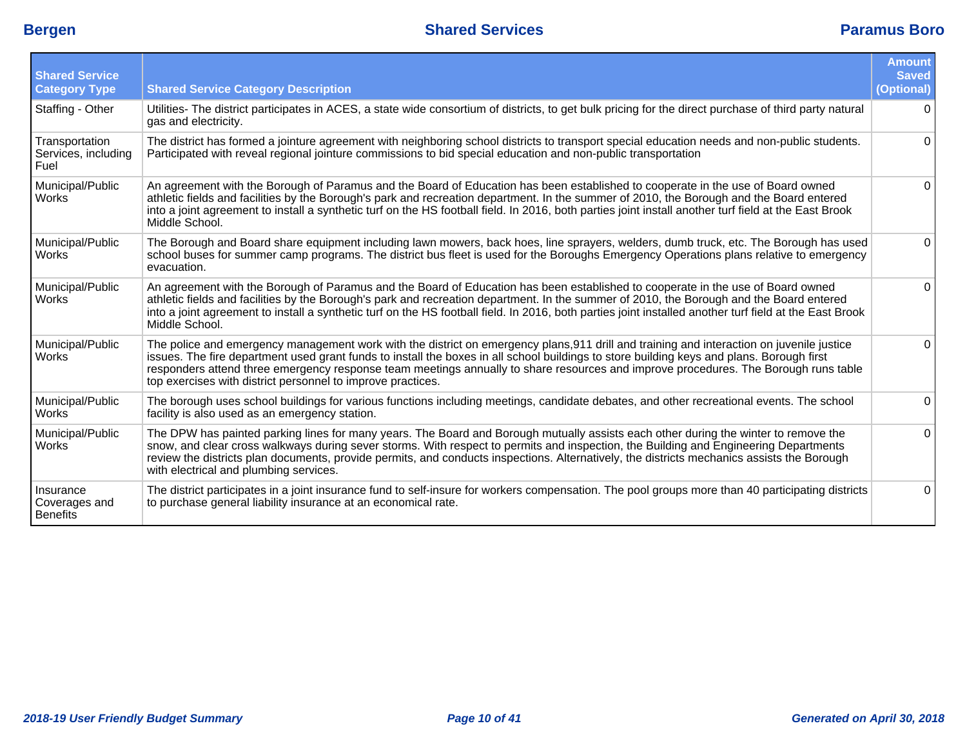| <b>Shared Service</b><br><b>Category Type</b> | <b>Shared Service Category Description</b>                                                                                                                                                                                                                                                                                                                                                                                                                                                   | <b>Amount</b><br><b>Saved</b><br>(Optional) |
|-----------------------------------------------|----------------------------------------------------------------------------------------------------------------------------------------------------------------------------------------------------------------------------------------------------------------------------------------------------------------------------------------------------------------------------------------------------------------------------------------------------------------------------------------------|---------------------------------------------|
| Staffing - Other                              | Utilities- The district participates in ACES, a state wide consortium of districts, to get bulk pricing for the direct purchase of third party natural<br>gas and electricity.                                                                                                                                                                                                                                                                                                               | $\Omega$                                    |
| Transportation<br>Services, including<br>Fuel | The district has formed a jointure agreement with neighboring school districts to transport special education needs and non-public students.<br>Participated with reveal regional jointure commissions to bid special education and non-public transportation                                                                                                                                                                                                                                | $\Omega$                                    |
| Municipal/Public<br><b>Works</b>              | An agreement with the Borough of Paramus and the Board of Education has been established to cooperate in the use of Board owned<br>athletic fields and facilities by the Borough's park and recreation department. In the summer of 2010, the Borough and the Board entered<br>into a joint agreement to install a synthetic turf on the HS football field. In 2016, both parties joint install another turf field at the East Brook<br>Middle School.                                       | $\Omega$                                    |
| Municipal/Public<br>Works                     | The Borough and Board share equipment including lawn mowers, back hoes, line sprayers, welders, dumb truck, etc. The Borough has used<br>school buses for summer camp programs. The district bus fleet is used for the Boroughs Emergency Operations plans relative to emergency<br>evacuation.                                                                                                                                                                                              | $\Omega$                                    |
| Municipal/Public<br><b>Works</b>              | An agreement with the Borough of Paramus and the Board of Education has been established to cooperate in the use of Board owned<br>athletic fields and facilities by the Borough's park and recreation department. In the summer of 2010, the Borough and the Board entered<br>into a joint agreement to install a synthetic turf on the HS football field. In 2016, both parties joint installed another turf field at the East Brook<br>Middle School.                                     | $\Omega$                                    |
| Municipal/Public<br>Works                     | The police and emergency management work with the district on emergency plans, 911 drill and training and interaction on juvenile justice<br>issues. The fire department used grant funds to install the boxes in all school buildings to store building keys and plans. Borough first<br>responders attend three emergency response team meetings annually to share resources and improve procedures. The Borough runs table<br>top exercises with district personnel to improve practices. | $\Omega$                                    |
| Municipal/Public<br><b>Works</b>              | The borough uses school buildings for various functions including meetings, candidate debates, and other recreational events. The school<br>facility is also used as an emergency station.                                                                                                                                                                                                                                                                                                   | 0                                           |
| Municipal/Public<br>Works                     | The DPW has painted parking lines for many years. The Board and Borough mutually assists each other during the winter to remove the<br>snow, and clear cross walkways during sever storms. With respect to permits and inspection, the Building and Engineering Departments<br>review the districts plan documents, provide permits, and conducts inspections. Alternatively, the districts mechanics assists the Borough<br>with electrical and plumbing services.                          | $\Omega$                                    |
| Insurance<br>Coverages and<br>Benefits        | The district participates in a joint insurance fund to self-insure for workers compensation. The pool groups more than 40 participating districts<br>to purchase general liability insurance at an economical rate.                                                                                                                                                                                                                                                                          | $\Omega$                                    |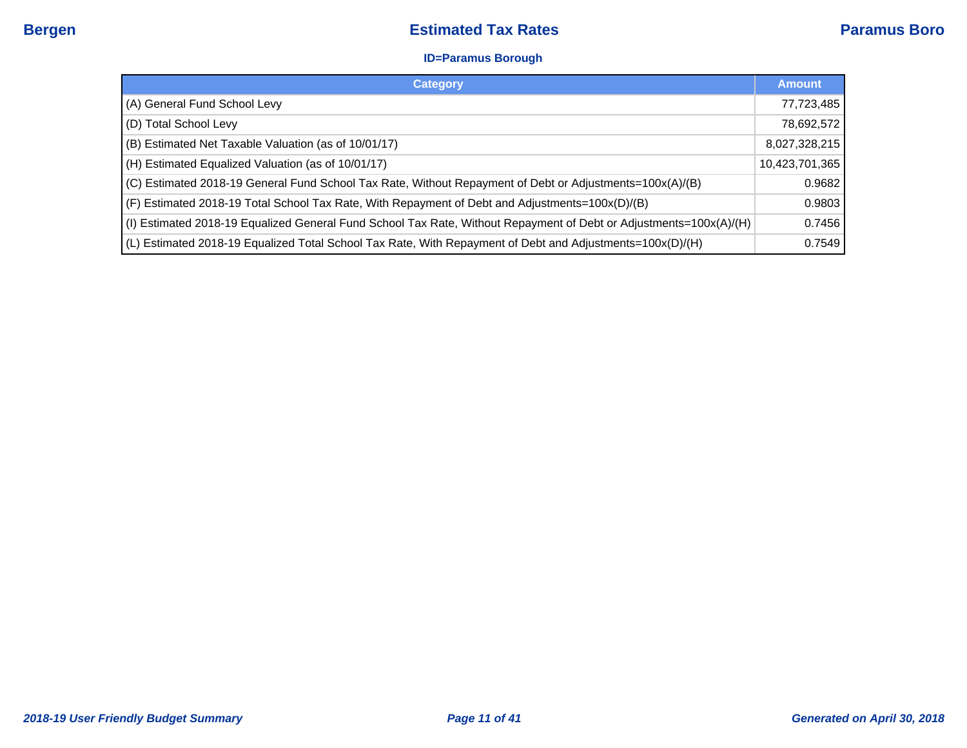#### **ID=Paramus Borough**

| <b>Category</b>                                                                                                    | <b>Amount</b>  |
|--------------------------------------------------------------------------------------------------------------------|----------------|
| (A) General Fund School Levy                                                                                       | 77,723,485     |
| (D) Total School Levy                                                                                              | 78,692,572     |
| (B) Estimated Net Taxable Valuation (as of 10/01/17)                                                               | 8,027,328,215  |
| (H) Estimated Equalized Valuation (as of 10/01/17)                                                                 | 10,423,701,365 |
| (C) Estimated 2018-19 General Fund School Tax Rate, Without Repayment of Debt or Adjustments=100x(A)/(B)           | 0.9682         |
| (F) Estimated 2018-19 Total School Tax Rate, With Repayment of Debt and Adjustments=100x(D)/(B)                    | 0.9803         |
| (I) Estimated 2018-19 Equalized General Fund School Tax Rate, Without Repayment of Debt or Adjustments=100x(A)/(H) | 0.7456         |
| (L) Estimated 2018-19 Equalized Total School Tax Rate, With Repayment of Debt and Adjustments=100x(D)/(H)          | 0.7549         |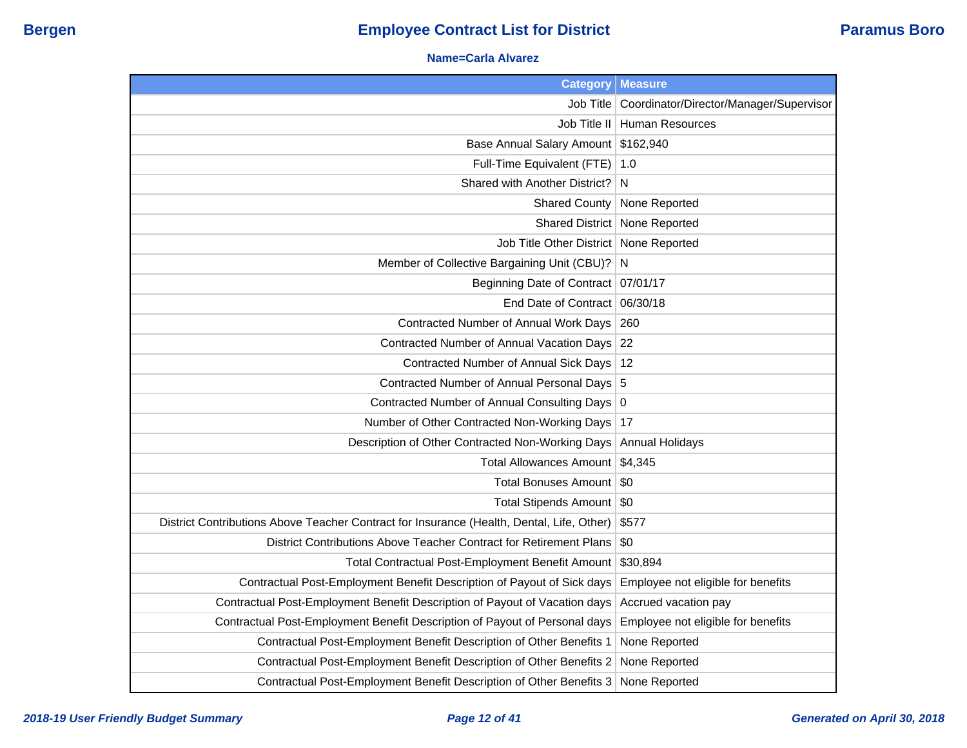#### **Name=Carla Alvarez**

| <b>Category</b>                                                                           | <b>Measure</b>                          |
|-------------------------------------------------------------------------------------------|-----------------------------------------|
| Job Title                                                                                 | Coordinator/Director/Manager/Supervisor |
| Job Title II                                                                              | <b>Human Resources</b>                  |
| <b>Base Annual Salary Amount</b>                                                          | \$162,940                               |
| Full-Time Equivalent (FTE)                                                                | 1.0                                     |
| Shared with Another District?                                                             | N                                       |
| <b>Shared County</b>                                                                      | None Reported                           |
| Shared District                                                                           | None Reported                           |
| Job Title Other District                                                                  | None Reported                           |
| Member of Collective Bargaining Unit (CBU)?                                               | N                                       |
| Beginning Date of Contract   07/01/17                                                     |                                         |
| End Date of Contract 06/30/18                                                             |                                         |
| Contracted Number of Annual Work Days                                                     | 260                                     |
| Contracted Number of Annual Vacation Days 22                                              |                                         |
| Contracted Number of Annual Sick Days   12                                                |                                         |
| Contracted Number of Annual Personal Days 5                                               |                                         |
| Contracted Number of Annual Consulting Days 0                                             |                                         |
| Number of Other Contracted Non-Working Days                                               | 17                                      |
| Description of Other Contracted Non-Working Days                                          | <b>Annual Holidays</b>                  |
| Total Allowances Amount   \$4,345                                                         |                                         |
| Total Bonuses Amount                                                                      | \$0                                     |
| Total Stipends Amount   \$0                                                               |                                         |
| District Contributions Above Teacher Contract for Insurance (Health, Dental, Life, Other) | \$577                                   |
| District Contributions Above Teacher Contract for Retirement Plans                        | \$0                                     |
| Total Contractual Post-Employment Benefit Amount                                          | \$30,894                                |
| Contractual Post-Employment Benefit Description of Payout of Sick days                    | Employee not eligible for benefits      |
| Contractual Post-Employment Benefit Description of Payout of Vacation days                | Accrued vacation pay                    |
| Contractual Post-Employment Benefit Description of Payout of Personal days                | Employee not eligible for benefits      |
| Contractual Post-Employment Benefit Description of Other Benefits 1                       | None Reported                           |
| Contractual Post-Employment Benefit Description of Other Benefits 2                       | None Reported                           |
| Contractual Post-Employment Benefit Description of Other Benefits 3                       | None Reported                           |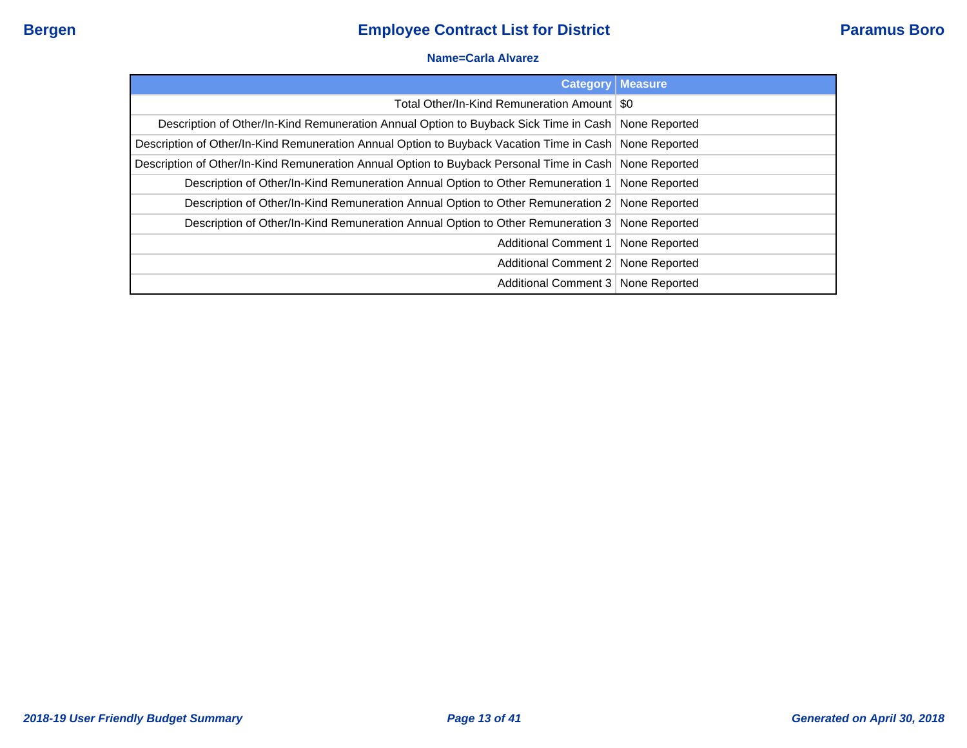### **Name=Carla Alvarez**

|                                                                                                        | <b>Category   Measure</b> |
|--------------------------------------------------------------------------------------------------------|---------------------------|
| Total Other/In-Kind Remuneration Amount   \$0                                                          |                           |
| Description of Other/In-Kind Remuneration Annual Option to Buyback Sick Time in Cash   None Reported   |                           |
| Description of Other/In-Kind Remuneration Annual Option to Buyback Vacation Time in Cash None Reported |                           |
| Description of Other/In-Kind Remuneration Annual Option to Buyback Personal Time in Cash None Reported |                           |
| Description of Other/In-Kind Remuneration Annual Option to Other Remuneration 1                        | None Reported             |
| Description of Other/In-Kind Remuneration Annual Option to Other Remuneration 2 None Reported          |                           |
| Description of Other/In-Kind Remuneration Annual Option to Other Remuneration 3 None Reported          |                           |
| Additional Comment 1   None Reported                                                                   |                           |
| Additional Comment 2   None Reported                                                                   |                           |
| Additional Comment 3 None Reported                                                                     |                           |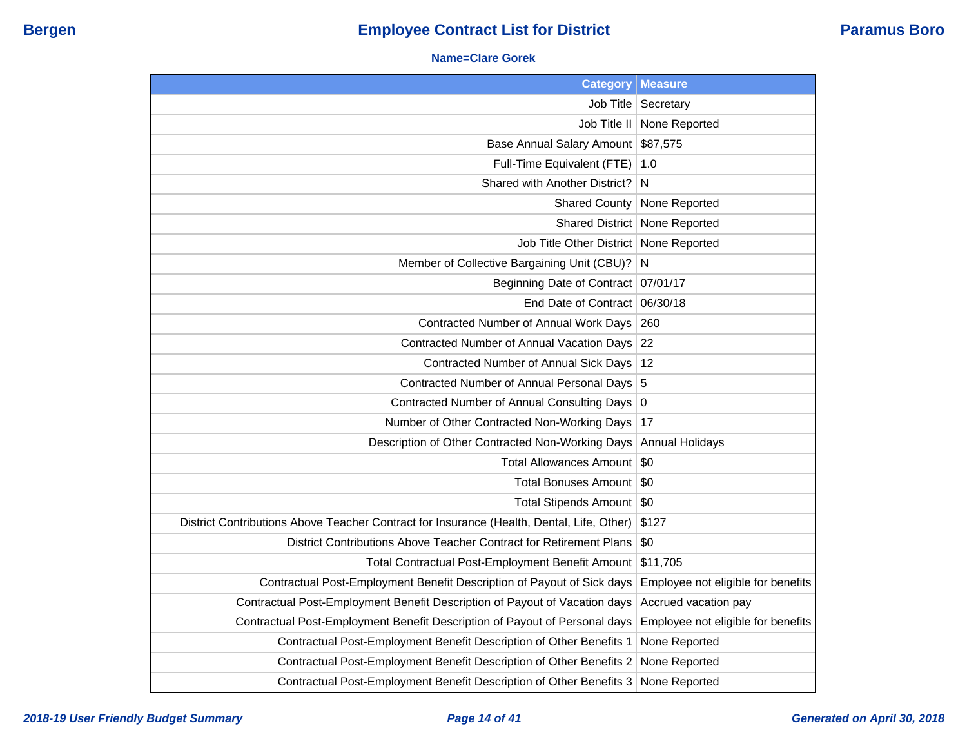#### **Name=Clare Gorek**

| <b>Category</b>                                                                           | <b>Measure</b>                     |
|-------------------------------------------------------------------------------------------|------------------------------------|
| Job Title                                                                                 | Secretary                          |
| Job Title II                                                                              | None Reported                      |
| Base Annual Salary Amount                                                                 | \$87,575                           |
| Full-Time Equivalent (FTE)                                                                | 1.0                                |
| Shared with Another District?                                                             | N                                  |
| <b>Shared County</b>                                                                      | None Reported                      |
| <b>Shared District</b>                                                                    | None Reported                      |
| Job Title Other District                                                                  | None Reported                      |
| Member of Collective Bargaining Unit (CBU)?                                               | N                                  |
| <b>Beginning Date of Contract</b>                                                         | 07/01/17                           |
| End Date of Contract                                                                      | 06/30/18                           |
| Contracted Number of Annual Work Days                                                     | 260                                |
| Contracted Number of Annual Vacation Days                                                 | 22                                 |
| Contracted Number of Annual Sick Days                                                     | 12                                 |
| Contracted Number of Annual Personal Days                                                 | 5                                  |
| Contracted Number of Annual Consulting Days                                               | 0                                  |
| Number of Other Contracted Non-Working Days                                               | 17                                 |
| Description of Other Contracted Non-Working Days                                          | <b>Annual Holidays</b>             |
| Total Allowances Amount                                                                   | \$0                                |
| Total Bonuses Amount                                                                      | \$0                                |
| Total Stipends Amount   \$0                                                               |                                    |
| District Contributions Above Teacher Contract for Insurance (Health, Dental, Life, Other) | \$127                              |
| District Contributions Above Teacher Contract for Retirement Plans                        | \$0                                |
| Total Contractual Post-Employment Benefit Amount                                          | \$11,705                           |
| Contractual Post-Employment Benefit Description of Payout of Sick days                    | Employee not eligible for benefits |
| Contractual Post-Employment Benefit Description of Payout of Vacation days                | Accrued vacation pay               |
| Contractual Post-Employment Benefit Description of Payout of Personal days                | Employee not eligible for benefits |
| Contractual Post-Employment Benefit Description of Other Benefits 1                       | None Reported                      |
| Contractual Post-Employment Benefit Description of Other Benefits 2                       | None Reported                      |
| Contractual Post-Employment Benefit Description of Other Benefits 3                       | None Reported                      |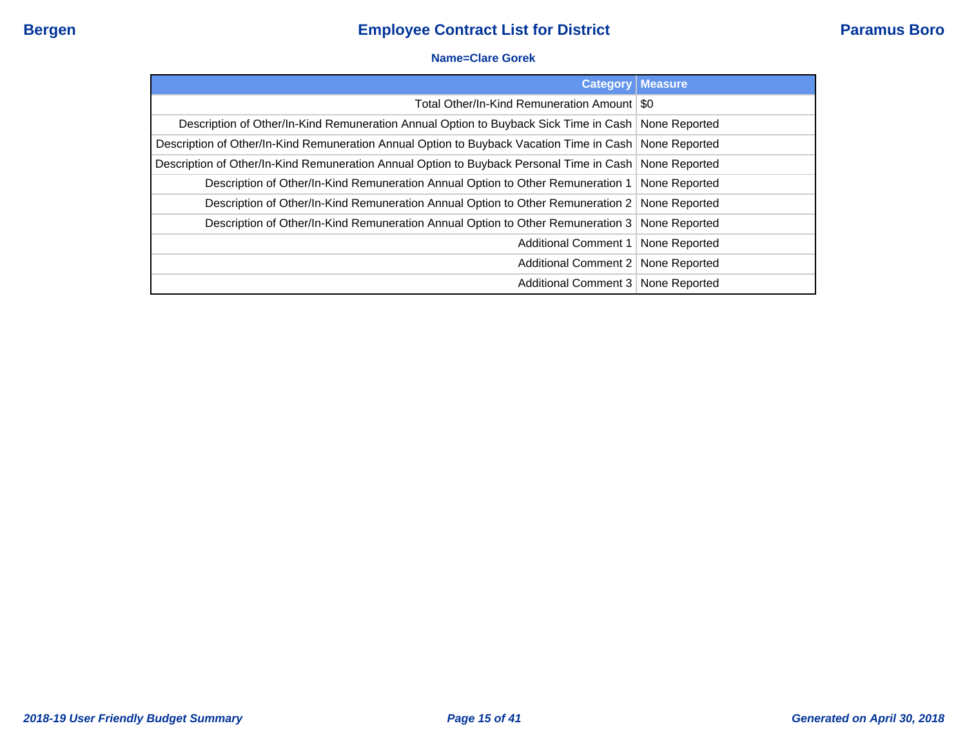#### **Name=Clare Gorek**

| <b>Category</b>                                                                                          | <b>Measure</b> |
|----------------------------------------------------------------------------------------------------------|----------------|
| Total Other/In-Kind Remuneration Amount   \$0                                                            |                |
| Description of Other/In-Kind Remuneration Annual Option to Buyback Sick Time in Cash   None Reported     |                |
| Description of Other/In-Kind Remuneration Annual Option to Buyback Vacation Time in Cash None Reported   |                |
| Description of Other/In-Kind Remuneration Annual Option to Buyback Personal Time in Cash   None Reported |                |
| Description of Other/In-Kind Remuneration Annual Option to Other Remuneration 1   None Reported          |                |
| Description of Other/In-Kind Remuneration Annual Option to Other Remuneration 2 None Reported            |                |
| Description of Other/In-Kind Remuneration Annual Option to Other Remuneration 3 None Reported            |                |
| Additional Comment 1   None Reported                                                                     |                |
| Additional Comment 2   None Reported                                                                     |                |
| Additional Comment 3   None Reported                                                                     |                |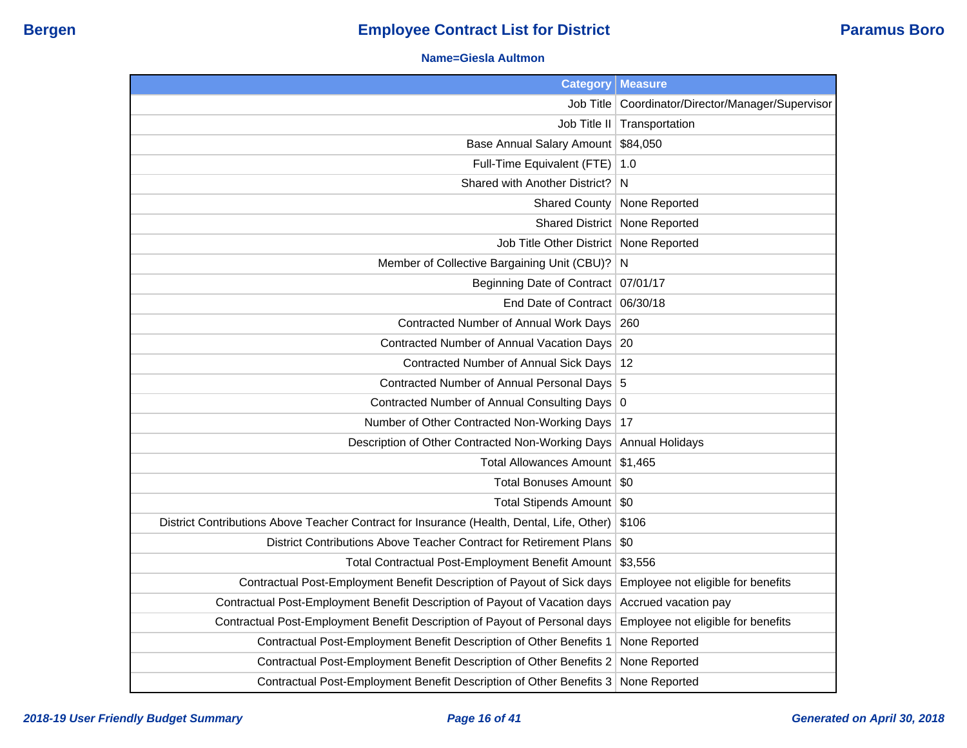#### **Name=Giesla Aultmon**

| <b>Category</b>                                                                           | <b>Measure</b>                          |
|-------------------------------------------------------------------------------------------|-----------------------------------------|
| Job Title                                                                                 | Coordinator/Director/Manager/Supervisor |
| Job Title II                                                                              | Transportation                          |
| Base Annual Salary Amount                                                                 | \$84,050                                |
| Full-Time Equivalent (FTE)                                                                | 1.0                                     |
| Shared with Another District?                                                             | N                                       |
| <b>Shared County</b>                                                                      | None Reported                           |
|                                                                                           | Shared District   None Reported         |
| Job Title Other District   None Reported                                                  |                                         |
| Member of Collective Bargaining Unit (CBU)?                                               | N                                       |
| Beginning Date of Contract 07/01/17                                                       |                                         |
| End Date of Contract 06/30/18                                                             |                                         |
| Contracted Number of Annual Work Days                                                     | 260                                     |
| Contracted Number of Annual Vacation Days                                                 | 20                                      |
| Contracted Number of Annual Sick Days   12                                                |                                         |
| Contracted Number of Annual Personal Days 5                                               |                                         |
| Contracted Number of Annual Consulting Days 0                                             |                                         |
| Number of Other Contracted Non-Working Days                                               | 17                                      |
| Description of Other Contracted Non-Working Days                                          | <b>Annual Holidays</b>                  |
| Total Allowances Amount \$1,465                                                           |                                         |
| <b>Total Bonuses Amount</b>                                                               | - SO                                    |
| Total Stipends Amount   \$0                                                               |                                         |
| District Contributions Above Teacher Contract for Insurance (Health, Dental, Life, Other) | \$106                                   |
| District Contributions Above Teacher Contract for Retirement Plans                        | \$0                                     |
| Total Contractual Post-Employment Benefit Amount                                          | \$3,556                                 |
| Contractual Post-Employment Benefit Description of Payout of Sick days                    | Employee not eligible for benefits      |
| Contractual Post-Employment Benefit Description of Payout of Vacation days                | Accrued vacation pay                    |
| Contractual Post-Employment Benefit Description of Payout of Personal days                | Employee not eligible for benefits      |
| Contractual Post-Employment Benefit Description of Other Benefits 1                       | None Reported                           |
| Contractual Post-Employment Benefit Description of Other Benefits 2                       | None Reported                           |
| Contractual Post-Employment Benefit Description of Other Benefits 3                       | None Reported                           |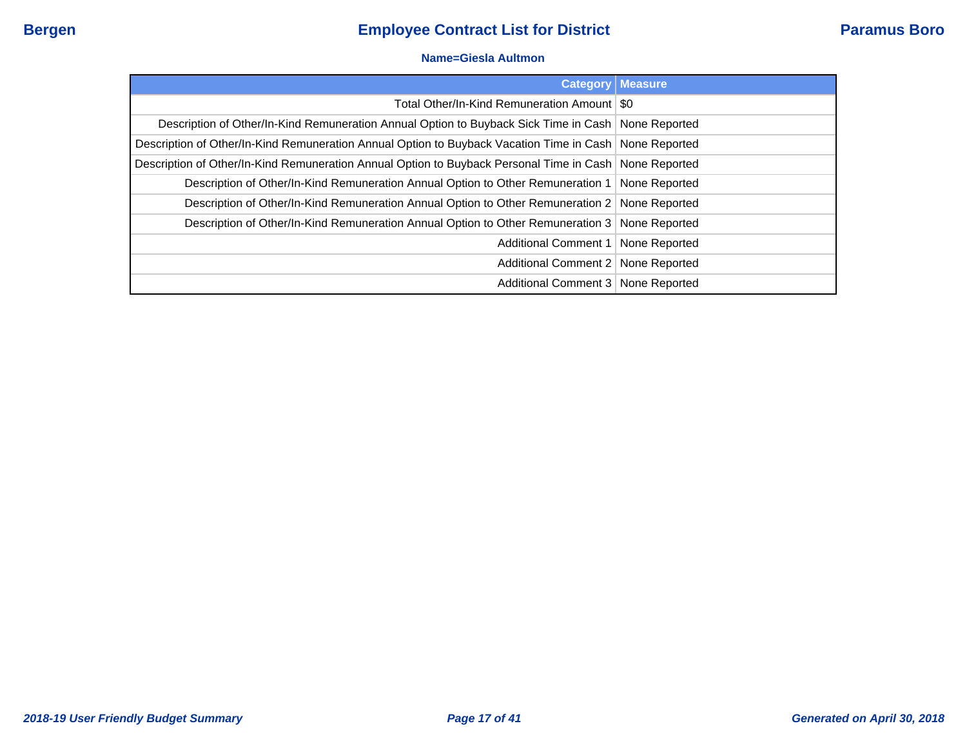#### **Name=Giesla Aultmon**

|                                                                                                        | <b>Category   Measure</b> |
|--------------------------------------------------------------------------------------------------------|---------------------------|
| Total Other/In-Kind Remuneration Amount   \$0                                                          |                           |
| Description of Other/In-Kind Remuneration Annual Option to Buyback Sick Time in Cash   None Reported   |                           |
| Description of Other/In-Kind Remuneration Annual Option to Buyback Vacation Time in Cash None Reported |                           |
| Description of Other/In-Kind Remuneration Annual Option to Buyback Personal Time in Cash None Reported |                           |
| Description of Other/In-Kind Remuneration Annual Option to Other Remuneration 1                        | None Reported             |
| Description of Other/In-Kind Remuneration Annual Option to Other Remuneration 2 None Reported          |                           |
| Description of Other/In-Kind Remuneration Annual Option to Other Remuneration 3 None Reported          |                           |
| Additional Comment 1                                                                                   | None Reported             |
| Additional Comment 2   None Reported                                                                   |                           |
| Additional Comment 3 None Reported                                                                     |                           |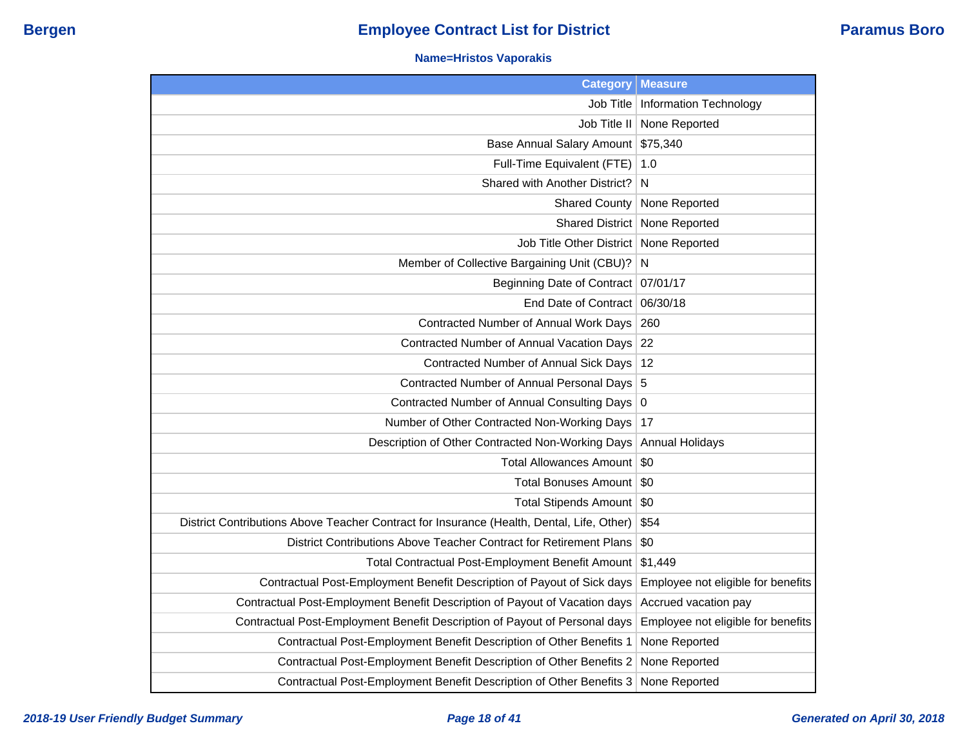### **Name=Hristos Vaporakis**

| <b>Category</b>                                                                           | <b>Measure</b>                     |
|-------------------------------------------------------------------------------------------|------------------------------------|
| Job Title                                                                                 | Information Technology             |
| Job Title II                                                                              | None Reported                      |
| Base Annual Salary Amount                                                                 | \$75,340                           |
| Full-Time Equivalent (FTE)                                                                | 1.0                                |
| Shared with Another District?                                                             | N                                  |
| <b>Shared County</b>                                                                      | None Reported                      |
| <b>Shared District</b>                                                                    | None Reported                      |
| Job Title Other District   None Reported                                                  |                                    |
| Member of Collective Bargaining Unit (CBU)?                                               | N                                  |
| Beginning Date of Contract                                                                | 07/01/17                           |
| End Date of Contract                                                                      | 06/30/18                           |
| <b>Contracted Number of Annual Work Days</b>                                              | 260                                |
| Contracted Number of Annual Vacation Days                                                 | 22                                 |
| Contracted Number of Annual Sick Days                                                     | 12                                 |
| Contracted Number of Annual Personal Days 5                                               |                                    |
| Contracted Number of Annual Consulting Days 0                                             |                                    |
| Number of Other Contracted Non-Working Days                                               | 17                                 |
| Description of Other Contracted Non-Working Days                                          | <b>Annual Holidays</b>             |
| <b>Total Allowances Amount</b>                                                            | \$0                                |
| <b>Total Bonuses Amount</b>                                                               | \$0                                |
| <b>Total Stipends Amount</b>                                                              | \$0                                |
| District Contributions Above Teacher Contract for Insurance (Health, Dental, Life, Other) | \$54                               |
| District Contributions Above Teacher Contract for Retirement Plans                        | \$0                                |
| Total Contractual Post-Employment Benefit Amount                                          | \$1,449                            |
| Contractual Post-Employment Benefit Description of Payout of Sick days                    | Employee not eligible for benefits |
| Contractual Post-Employment Benefit Description of Payout of Vacation days                | Accrued vacation pay               |
| Contractual Post-Employment Benefit Description of Payout of Personal days                | Employee not eligible for benefits |
| Contractual Post-Employment Benefit Description of Other Benefits 1                       | None Reported                      |
| Contractual Post-Employment Benefit Description of Other Benefits 2                       | None Reported                      |
| Contractual Post-Employment Benefit Description of Other Benefits 3                       | None Reported                      |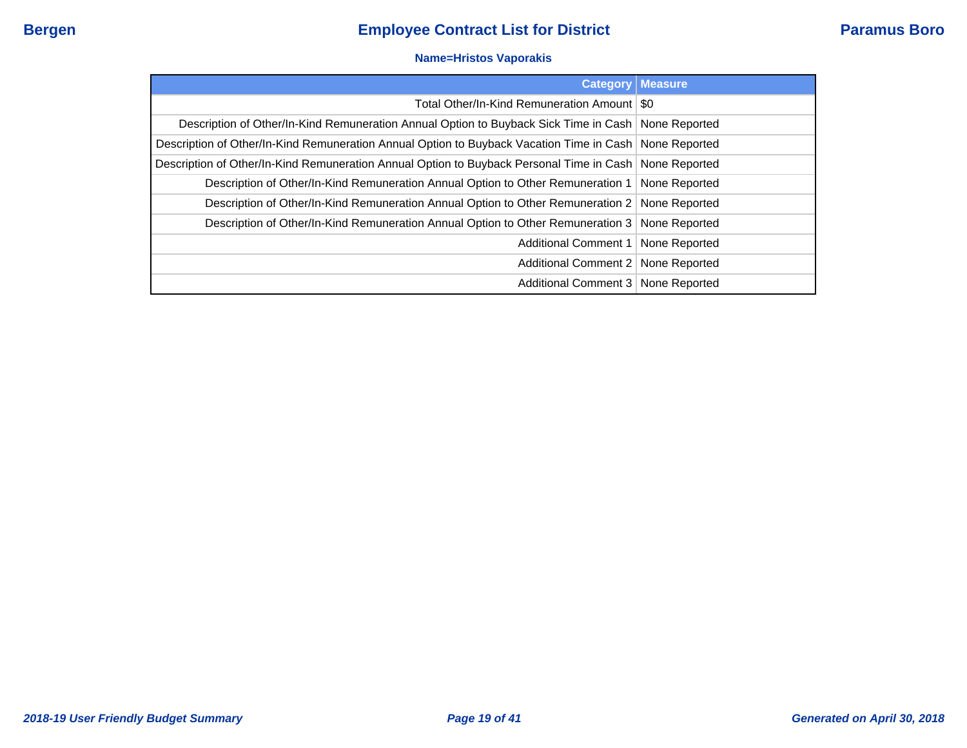### **Name=Hristos Vaporakis**

| <b>Category</b>                                                                                          | <b>Measure</b> |
|----------------------------------------------------------------------------------------------------------|----------------|
| Total Other/In-Kind Remuneration Amount   \$0                                                            |                |
| Description of Other/In-Kind Remuneration Annual Option to Buyback Sick Time in Cash   None Reported     |                |
| Description of Other/In-Kind Remuneration Annual Option to Buyback Vacation Time in Cash   None Reported |                |
| Description of Other/In-Kind Remuneration Annual Option to Buyback Personal Time in Cash None Reported   |                |
| Description of Other/In-Kind Remuneration Annual Option to Other Remuneration 1   None Reported          |                |
| Description of Other/In-Kind Remuneration Annual Option to Other Remuneration 2   None Reported          |                |
| Description of Other/In-Kind Remuneration Annual Option to Other Remuneration 3 None Reported            |                |
| Additional Comment 1   None Reported                                                                     |                |
| Additional Comment 2   None Reported                                                                     |                |
| Additional Comment 3   None Reported                                                                     |                |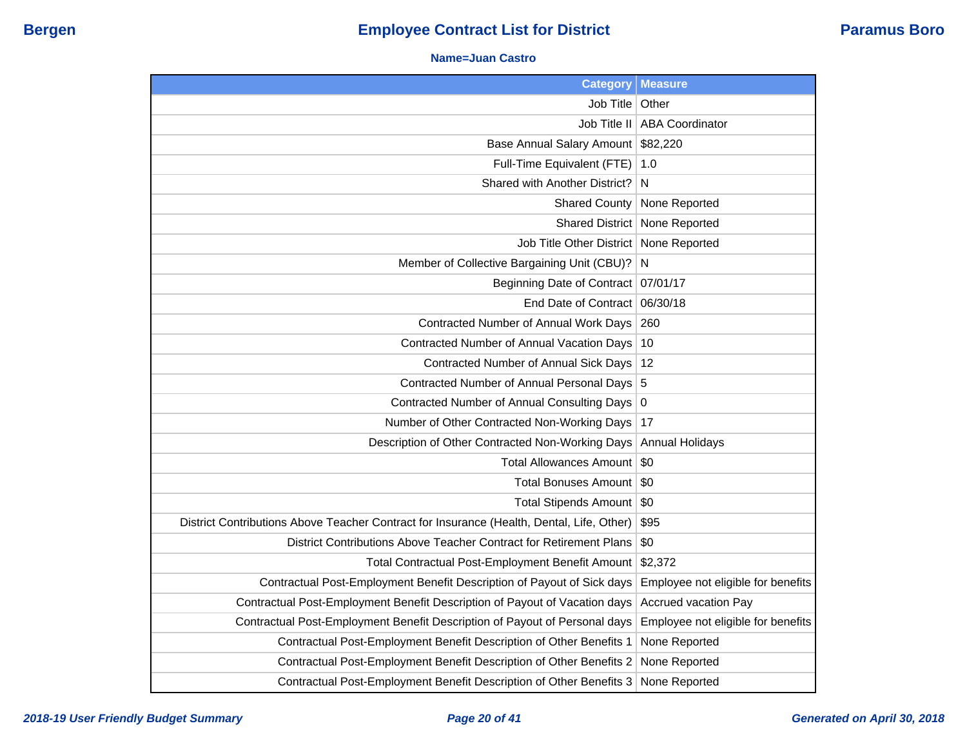#### **Name=Juan Castro**

| <b>Category</b>                                                                           | <b>Measure</b>                     |
|-------------------------------------------------------------------------------------------|------------------------------------|
| Job Title                                                                                 | Other                              |
| Job Title II                                                                              | <b>ABA Coordinator</b>             |
| Base Annual Salary Amount                                                                 | \$82,220                           |
| Full-Time Equivalent (FTE)                                                                | 1.0                                |
| Shared with Another District?                                                             | N                                  |
| <b>Shared County</b>                                                                      | None Reported                      |
| <b>Shared District</b>                                                                    | None Reported                      |
| Job Title Other District                                                                  | None Reported                      |
| Member of Collective Bargaining Unit (CBU)?                                               | N                                  |
| <b>Beginning Date of Contract</b>                                                         | 07/01/17                           |
| End Date of Contract                                                                      | 06/30/18                           |
| Contracted Number of Annual Work Days                                                     | 260                                |
| Contracted Number of Annual Vacation Days                                                 | 10                                 |
| Contracted Number of Annual Sick Days                                                     | 12                                 |
| Contracted Number of Annual Personal Days                                                 | 5                                  |
| Contracted Number of Annual Consulting Days                                               | 0                                  |
| Number of Other Contracted Non-Working Days                                               | 17                                 |
| Description of Other Contracted Non-Working Days                                          | <b>Annual Holidays</b>             |
| Total Allowances Amount                                                                   | \$0                                |
| Total Bonuses Amount                                                                      | \$0                                |
| Total Stipends Amount   \$0                                                               |                                    |
| District Contributions Above Teacher Contract for Insurance (Health, Dental, Life, Other) | \$95                               |
| District Contributions Above Teacher Contract for Retirement Plans                        | \$0                                |
| Total Contractual Post-Employment Benefit Amount                                          | \$2,372                            |
| Contractual Post-Employment Benefit Description of Payout of Sick days                    | Employee not eligible for benefits |
| Contractual Post-Employment Benefit Description of Payout of Vacation days                | <b>Accrued vacation Pay</b>        |
| Contractual Post-Employment Benefit Description of Payout of Personal days                | Employee not eligible for benefits |
| Contractual Post-Employment Benefit Description of Other Benefits 1                       | None Reported                      |
| Contractual Post-Employment Benefit Description of Other Benefits 2                       | None Reported                      |
| Contractual Post-Employment Benefit Description of Other Benefits 3                       | None Reported                      |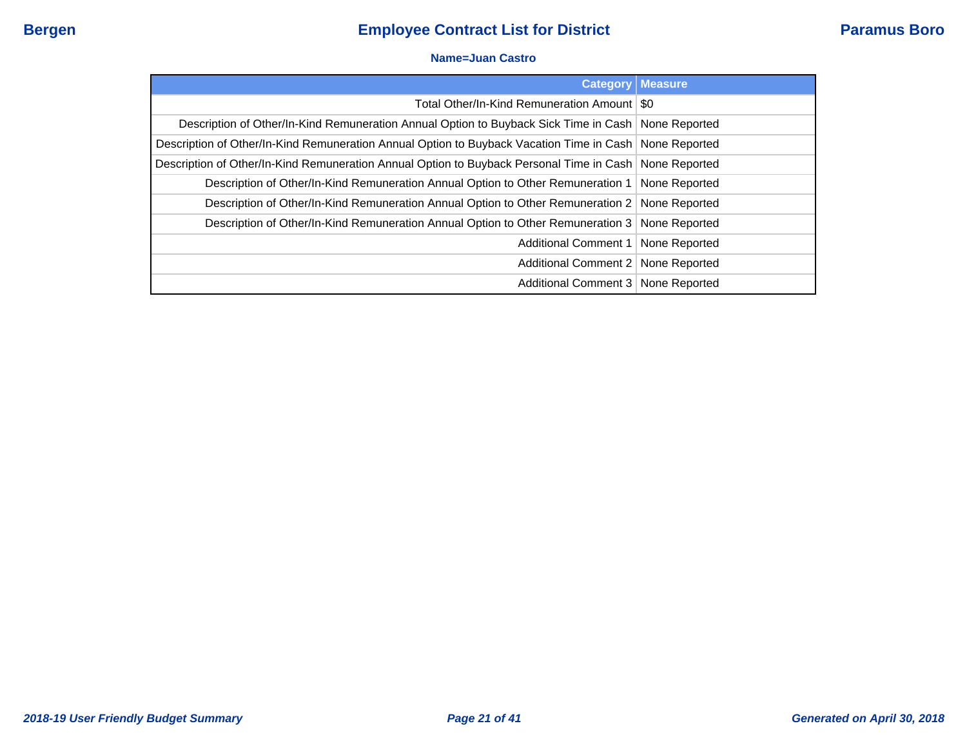#### **Name=Juan Castro**

| <b>Category</b>                                                                                          | <b>Measure</b> |
|----------------------------------------------------------------------------------------------------------|----------------|
| Total Other/In-Kind Remuneration Amount   \$0                                                            |                |
| Description of Other/In-Kind Remuneration Annual Option to Buyback Sick Time in Cash   None Reported     |                |
| Description of Other/In-Kind Remuneration Annual Option to Buyback Vacation Time in Cash None Reported   |                |
| Description of Other/In-Kind Remuneration Annual Option to Buyback Personal Time in Cash   None Reported |                |
| Description of Other/In-Kind Remuneration Annual Option to Other Remuneration 1   None Reported          |                |
| Description of Other/In-Kind Remuneration Annual Option to Other Remuneration 2 None Reported            |                |
| Description of Other/In-Kind Remuneration Annual Option to Other Remuneration 3 None Reported            |                |
| Additional Comment 1   None Reported                                                                     |                |
| Additional Comment 2   None Reported                                                                     |                |
| Additional Comment 3   None Reported                                                                     |                |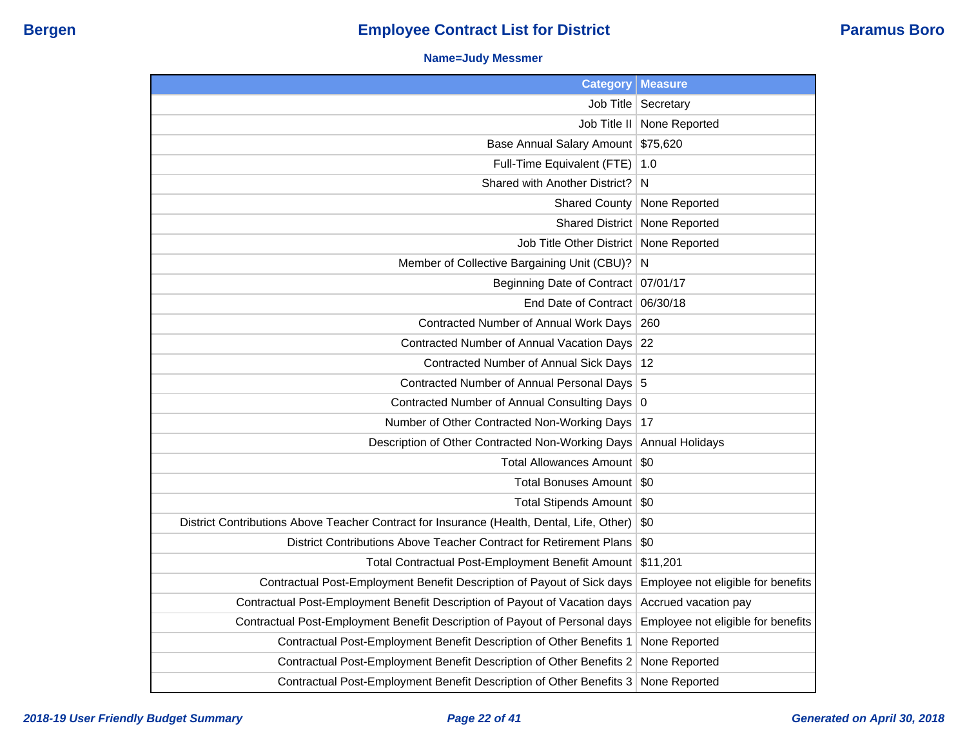### **Name=Judy Messmer**

| <b>Category</b>                                                                           | <b>Measure</b>                     |
|-------------------------------------------------------------------------------------------|------------------------------------|
| Job Title                                                                                 | Secretary                          |
| Job Title II                                                                              | None Reported                      |
| <b>Base Annual Salary Amount</b>                                                          | \$75,620                           |
| Full-Time Equivalent (FTE)                                                                | 1.0                                |
| Shared with Another District?                                                             | N                                  |
| <b>Shared County</b>                                                                      | None Reported                      |
| <b>Shared District</b>                                                                    | None Reported                      |
| Job Title Other District                                                                  | None Reported                      |
| Member of Collective Bargaining Unit (CBU)?                                               | N                                  |
| Beginning Date of Contract 07/01/17                                                       |                                    |
| End Date of Contract                                                                      | 06/30/18                           |
| Contracted Number of Annual Work Days                                                     | 260                                |
| Contracted Number of Annual Vacation Days                                                 | 22                                 |
| Contracted Number of Annual Sick Days                                                     | 12                                 |
| Contracted Number of Annual Personal Days 5                                               |                                    |
| Contracted Number of Annual Consulting Days                                               | $\boldsymbol{0}$                   |
| Number of Other Contracted Non-Working Days                                               | 17                                 |
| Description of Other Contracted Non-Working Days                                          | <b>Annual Holidays</b>             |
| Total Allowances Amount                                                                   | \$0                                |
| Total Bonuses Amount                                                                      | \$0                                |
| Total Stipends Amount   \$0                                                               |                                    |
| District Contributions Above Teacher Contract for Insurance (Health, Dental, Life, Other) | \$0                                |
| District Contributions Above Teacher Contract for Retirement Plans                        | \$0                                |
| Total Contractual Post-Employment Benefit Amount                                          | \$11,201                           |
| Contractual Post-Employment Benefit Description of Payout of Sick days                    | Employee not eligible for benefits |
| Contractual Post-Employment Benefit Description of Payout of Vacation days                | Accrued vacation pay               |
| Contractual Post-Employment Benefit Description of Payout of Personal days                | Employee not eligible for benefits |
| Contractual Post-Employment Benefit Description of Other Benefits 1                       | None Reported                      |
| Contractual Post-Employment Benefit Description of Other Benefits 2                       | None Reported                      |
| Contractual Post-Employment Benefit Description of Other Benefits 3                       | None Reported                      |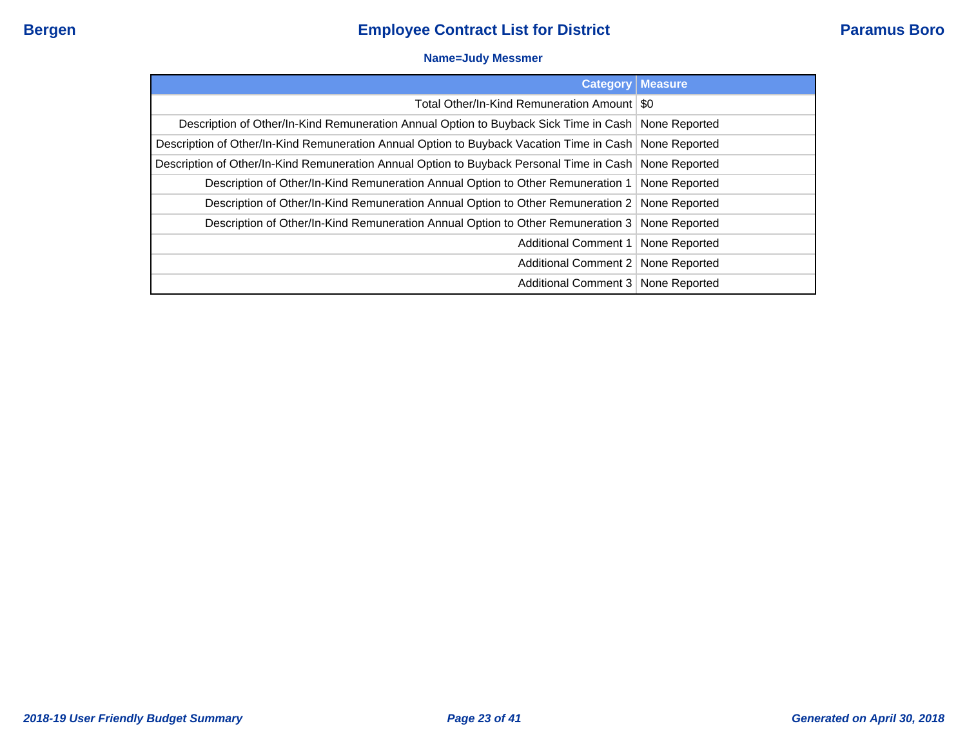### **Name=Judy Messmer**

| <b>Category</b>                                                                                          | <b>Measure</b> |
|----------------------------------------------------------------------------------------------------------|----------------|
| Total Other/In-Kind Remuneration Amount   \$0                                                            |                |
| Description of Other/In-Kind Remuneration Annual Option to Buyback Sick Time in Cash   None Reported     |                |
| Description of Other/In-Kind Remuneration Annual Option to Buyback Vacation Time in Cash   None Reported |                |
| Description of Other/In-Kind Remuneration Annual Option to Buyback Personal Time in Cash   None Reported |                |
| Description of Other/In-Kind Remuneration Annual Option to Other Remuneration 1   None Reported          |                |
| Description of Other/In-Kind Remuneration Annual Option to Other Remuneration 2 None Reported            |                |
| Description of Other/In-Kind Remuneration Annual Option to Other Remuneration 3   None Reported          |                |
| Additional Comment 1   None Reported                                                                     |                |
| Additional Comment 2   None Reported                                                                     |                |
| Additional Comment 3   None Reported                                                                     |                |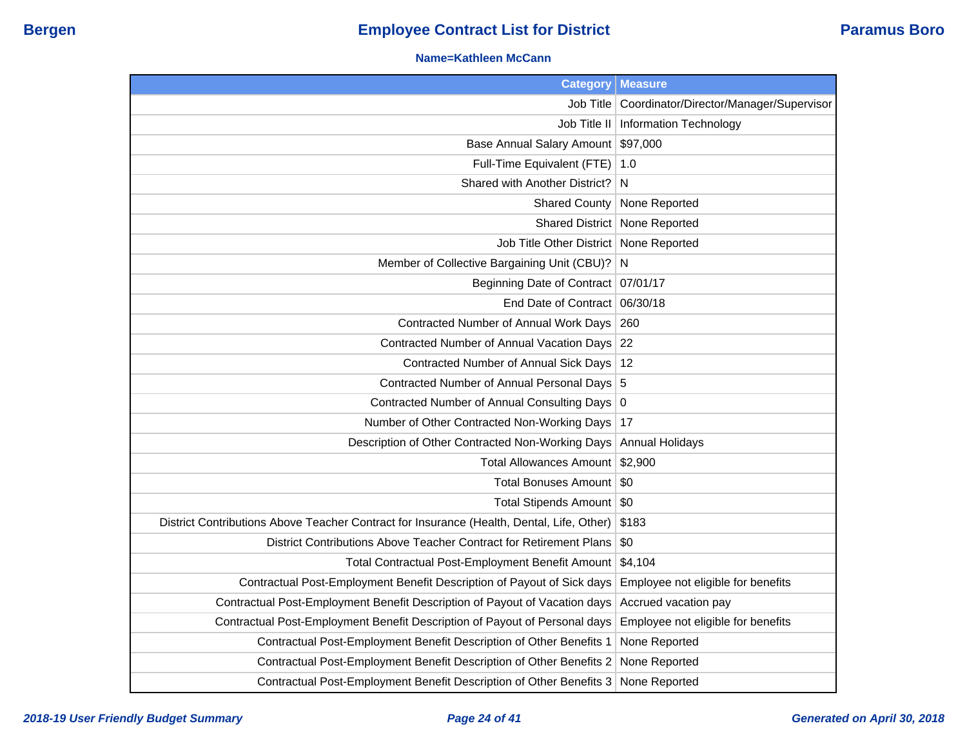#### **Name=Kathleen McCann**

| <b>Category</b>                                                                           | <b>Measure</b>                          |
|-------------------------------------------------------------------------------------------|-----------------------------------------|
| Job Title                                                                                 | Coordinator/Director/Manager/Supervisor |
| Job Title II                                                                              | Information Technology                  |
| Base Annual Salary Amount                                                                 | \$97,000                                |
| Full-Time Equivalent (FTE)                                                                | 1.0                                     |
| Shared with Another District?                                                             | N                                       |
| <b>Shared County</b>                                                                      | None Reported                           |
|                                                                                           | Shared District   None Reported         |
| Job Title Other District   None Reported                                                  |                                         |
| Member of Collective Bargaining Unit (CBU)? N                                             |                                         |
| Beginning Date of Contract   07/01/17                                                     |                                         |
| End Date of Contract 06/30/18                                                             |                                         |
| Contracted Number of Annual Work Days                                                     | 260                                     |
| Contracted Number of Annual Vacation Days 22                                              |                                         |
| Contracted Number of Annual Sick Days   12                                                |                                         |
| Contracted Number of Annual Personal Days 5                                               |                                         |
| Contracted Number of Annual Consulting Days 0                                             |                                         |
| Number of Other Contracted Non-Working Days                                               | 17                                      |
| Description of Other Contracted Non-Working Days                                          | <b>Annual Holidays</b>                  |
| Total Allowances Amount \$2,900                                                           |                                         |
| Total Bonuses Amount                                                                      | - SO                                    |
| Total Stipends Amount   \$0                                                               |                                         |
| District Contributions Above Teacher Contract for Insurance (Health, Dental, Life, Other) | \$183                                   |
| District Contributions Above Teacher Contract for Retirement Plans                        | \$0                                     |
| Total Contractual Post-Employment Benefit Amount                                          | \$4,104                                 |
| Contractual Post-Employment Benefit Description of Payout of Sick days                    | Employee not eligible for benefits      |
| Contractual Post-Employment Benefit Description of Payout of Vacation days                | Accrued vacation pay                    |
| Contractual Post-Employment Benefit Description of Payout of Personal days                | Employee not eligible for benefits      |
| Contractual Post-Employment Benefit Description of Other Benefits 1                       | None Reported                           |
| Contractual Post-Employment Benefit Description of Other Benefits 2                       | None Reported                           |
| Contractual Post-Employment Benefit Description of Other Benefits 3                       | None Reported                           |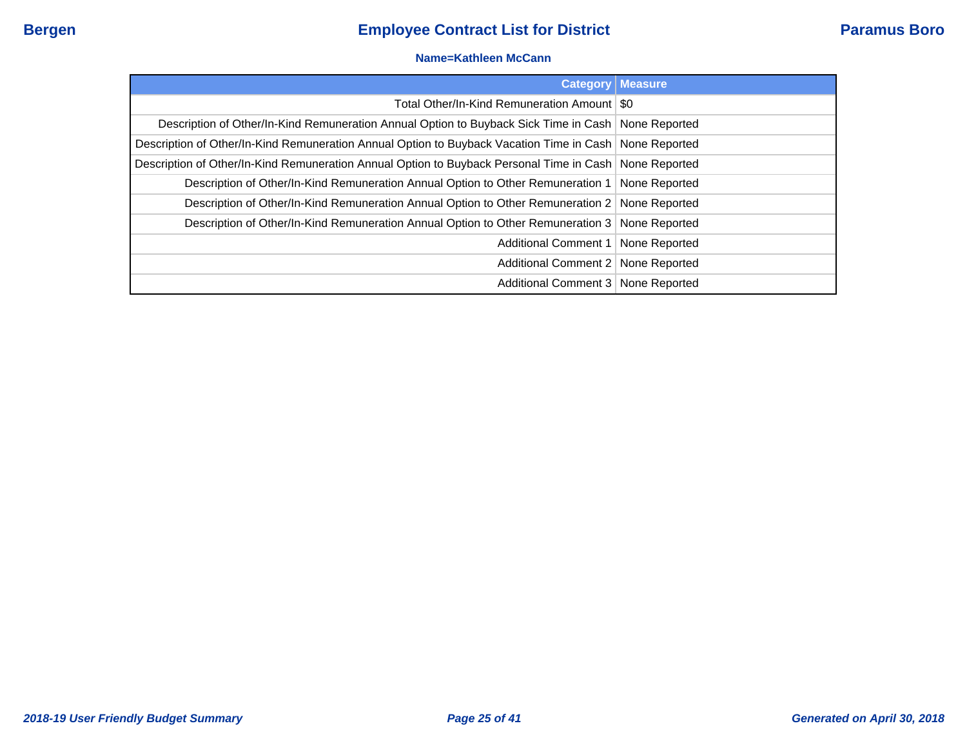#### **Name=Kathleen McCann**

|                                                                                                        | <b>Category   Measure</b> |
|--------------------------------------------------------------------------------------------------------|---------------------------|
| Total Other/In-Kind Remuneration Amount   \$0                                                          |                           |
| Description of Other/In-Kind Remuneration Annual Option to Buyback Sick Time in Cash   None Reported   |                           |
| Description of Other/In-Kind Remuneration Annual Option to Buyback Vacation Time in Cash None Reported |                           |
| Description of Other/In-Kind Remuneration Annual Option to Buyback Personal Time in Cash None Reported |                           |
| Description of Other/In-Kind Remuneration Annual Option to Other Remuneration 1                        | None Reported             |
| Description of Other/In-Kind Remuneration Annual Option to Other Remuneration 2 None Reported          |                           |
| Description of Other/In-Kind Remuneration Annual Option to Other Remuneration 3   None Reported        |                           |
| Additional Comment 1   None Reported                                                                   |                           |
| Additional Comment 2   None Reported                                                                   |                           |
| Additional Comment 3   None Reported                                                                   |                           |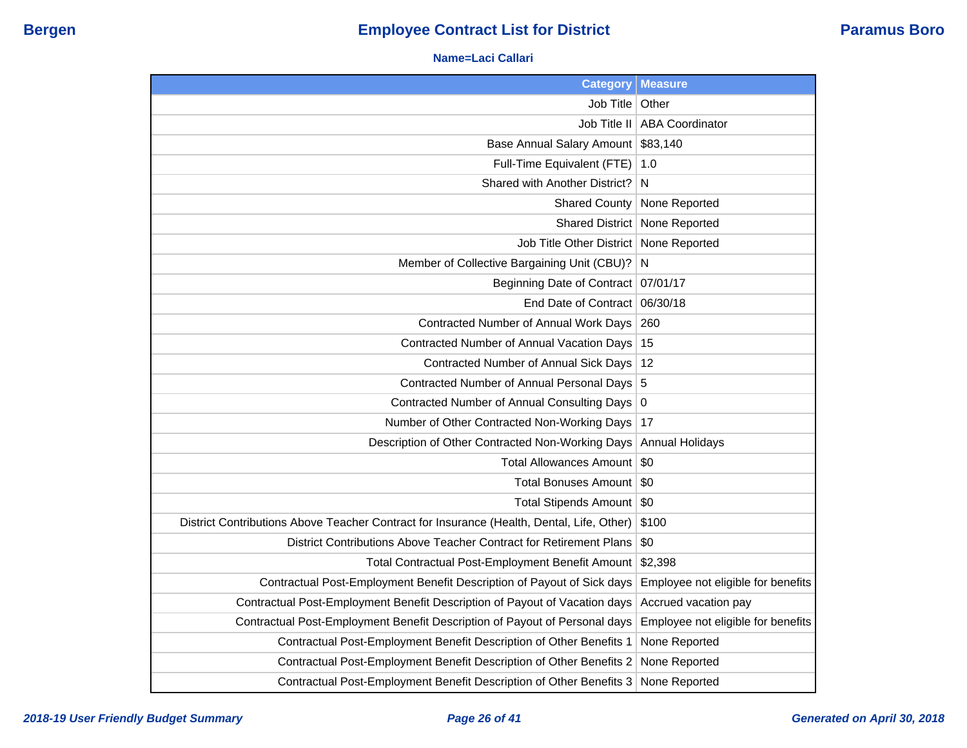#### **Name=Laci Callari**

| <b>Category</b>                                                                           | <b>Measure</b>                     |
|-------------------------------------------------------------------------------------------|------------------------------------|
| Job Title                                                                                 | Other                              |
| Job Title II                                                                              | <b>ABA Coordinator</b>             |
| Base Annual Salary Amount                                                                 | \$83,140                           |
| Full-Time Equivalent (FTE)                                                                | 1.0                                |
| Shared with Another District?                                                             | N                                  |
| <b>Shared County</b>                                                                      | None Reported                      |
| <b>Shared District</b>                                                                    | None Reported                      |
| Job Title Other District                                                                  | None Reported                      |
| Member of Collective Bargaining Unit (CBU)?                                               | N                                  |
| Beginning Date of Contract                                                                | 07/01/17                           |
| End Date of Contract                                                                      | 06/30/18                           |
| Contracted Number of Annual Work Days                                                     | 260                                |
| Contracted Number of Annual Vacation Days                                                 | 15                                 |
| Contracted Number of Annual Sick Days                                                     | 12                                 |
| Contracted Number of Annual Personal Days                                                 | 5                                  |
| Contracted Number of Annual Consulting Days                                               | 0                                  |
| Number of Other Contracted Non-Working Days                                               | 17                                 |
| Description of Other Contracted Non-Working Days                                          | <b>Annual Holidays</b>             |
| <b>Total Allowances Amount</b>                                                            | \$0                                |
| Total Bonuses Amount                                                                      | \$0                                |
| Total Stipends Amount   \$0                                                               |                                    |
| District Contributions Above Teacher Contract for Insurance (Health, Dental, Life, Other) | \$100                              |
| District Contributions Above Teacher Contract for Retirement Plans                        | \$0                                |
| Total Contractual Post-Employment Benefit Amount                                          | \$2,398                            |
| Contractual Post-Employment Benefit Description of Payout of Sick days                    | Employee not eligible for benefits |
| Contractual Post-Employment Benefit Description of Payout of Vacation days                | Accrued vacation pay               |
| Contractual Post-Employment Benefit Description of Payout of Personal days                | Employee not eligible for benefits |
| Contractual Post-Employment Benefit Description of Other Benefits 1                       | None Reported                      |
| Contractual Post-Employment Benefit Description of Other Benefits 2                       | None Reported                      |
| Contractual Post-Employment Benefit Description of Other Benefits 3                       | None Reported                      |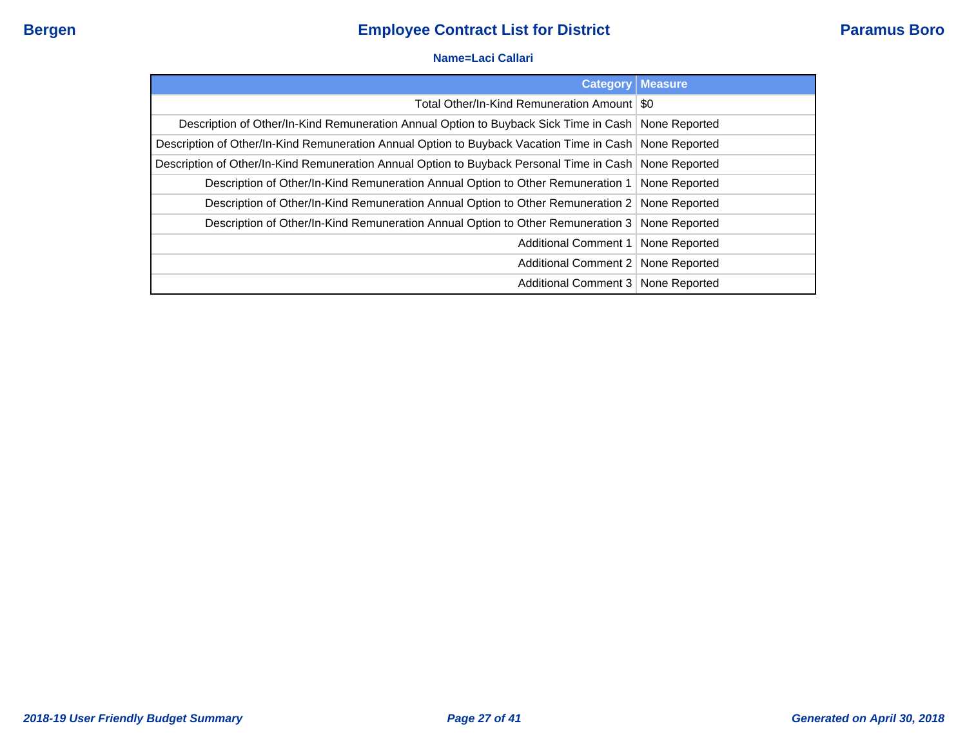#### **Name=Laci Callari**

| <b>Category</b>                                                                                          | <b>Measure</b> |
|----------------------------------------------------------------------------------------------------------|----------------|
| Total Other/In-Kind Remuneration Amount   \$0                                                            |                |
| Description of Other/In-Kind Remuneration Annual Option to Buyback Sick Time in Cash   None Reported     |                |
| Description of Other/In-Kind Remuneration Annual Option to Buyback Vacation Time in Cash   None Reported |                |
| Description of Other/In-Kind Remuneration Annual Option to Buyback Personal Time in Cash   None Reported |                |
| Description of Other/In-Kind Remuneration Annual Option to Other Remuneration 1   None Reported          |                |
| Description of Other/In-Kind Remuneration Annual Option to Other Remuneration 2 None Reported            |                |
| Description of Other/In-Kind Remuneration Annual Option to Other Remuneration 3 None Reported            |                |
| Additional Comment 1   None Reported                                                                     |                |
| Additional Comment 2   None Reported                                                                     |                |
| Additional Comment 3   None Reported                                                                     |                |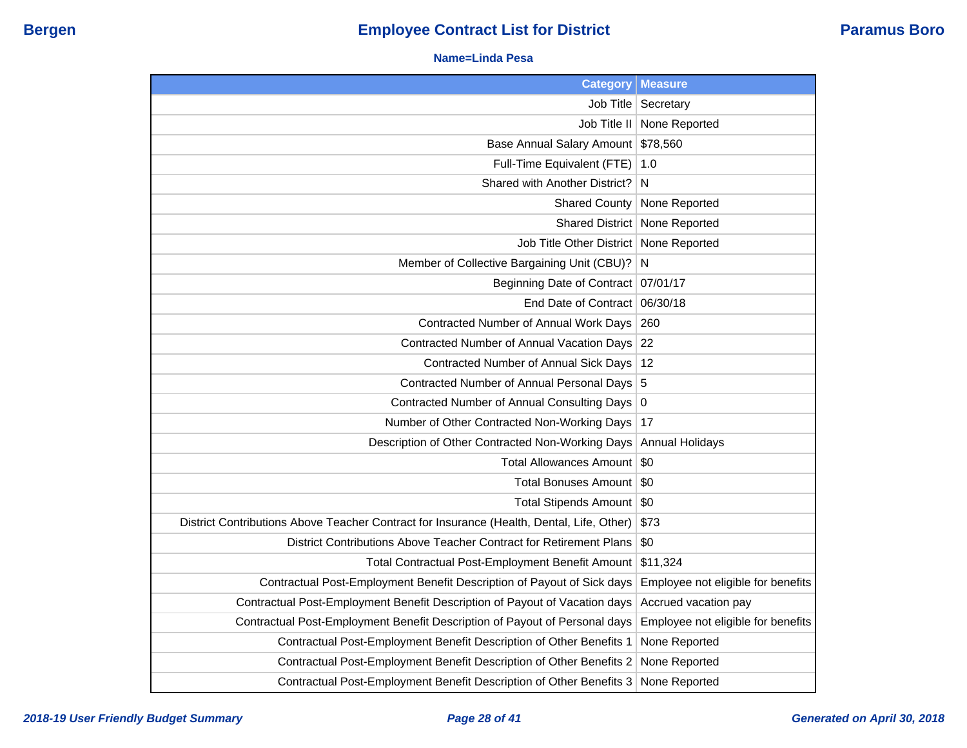#### **Name=Linda Pesa**

| <b>Category</b>                                                                           | <b>Measure</b>                     |
|-------------------------------------------------------------------------------------------|------------------------------------|
| Job Title                                                                                 | Secretary                          |
| Job Title II                                                                              | None Reported                      |
| <b>Base Annual Salary Amount</b>                                                          | \$78,560                           |
| Full-Time Equivalent (FTE)                                                                | 1.0                                |
| Shared with Another District?                                                             | N                                  |
| <b>Shared County</b>                                                                      | None Reported                      |
| <b>Shared District</b>                                                                    | None Reported                      |
| <b>Job Title Other District</b>                                                           | None Reported                      |
| Member of Collective Bargaining Unit (CBU)?                                               | N                                  |
| Beginning Date of Contract                                                                | 07/01/17                           |
| End Date of Contract                                                                      | 06/30/18                           |
| Contracted Number of Annual Work Days                                                     | 260                                |
| Contracted Number of Annual Vacation Days                                                 | 22                                 |
| Contracted Number of Annual Sick Days                                                     | 12                                 |
| Contracted Number of Annual Personal Days                                                 | 5                                  |
| Contracted Number of Annual Consulting Days                                               | $\overline{0}$                     |
| Number of Other Contracted Non-Working Days                                               | 17                                 |
| Description of Other Contracted Non-Working Days                                          | <b>Annual Holidays</b>             |
| <b>Total Allowances Amount</b>                                                            | \$0                                |
| <b>Total Bonuses Amount</b>                                                               | \$0                                |
| Total Stipends Amount   \$0                                                               |                                    |
| District Contributions Above Teacher Contract for Insurance (Health, Dental, Life, Other) | \$73                               |
| District Contributions Above Teacher Contract for Retirement Plans                        | \$0                                |
| Total Contractual Post-Employment Benefit Amount                                          | \$11,324                           |
| Contractual Post-Employment Benefit Description of Payout of Sick days                    | Employee not eligible for benefits |
| Contractual Post-Employment Benefit Description of Payout of Vacation days                | Accrued vacation pay               |
| Contractual Post-Employment Benefit Description of Payout of Personal days                | Employee not eligible for benefits |
| Contractual Post-Employment Benefit Description of Other Benefits 1                       | None Reported                      |
| Contractual Post-Employment Benefit Description of Other Benefits 2                       | None Reported                      |
| Contractual Post-Employment Benefit Description of Other Benefits 3                       | None Reported                      |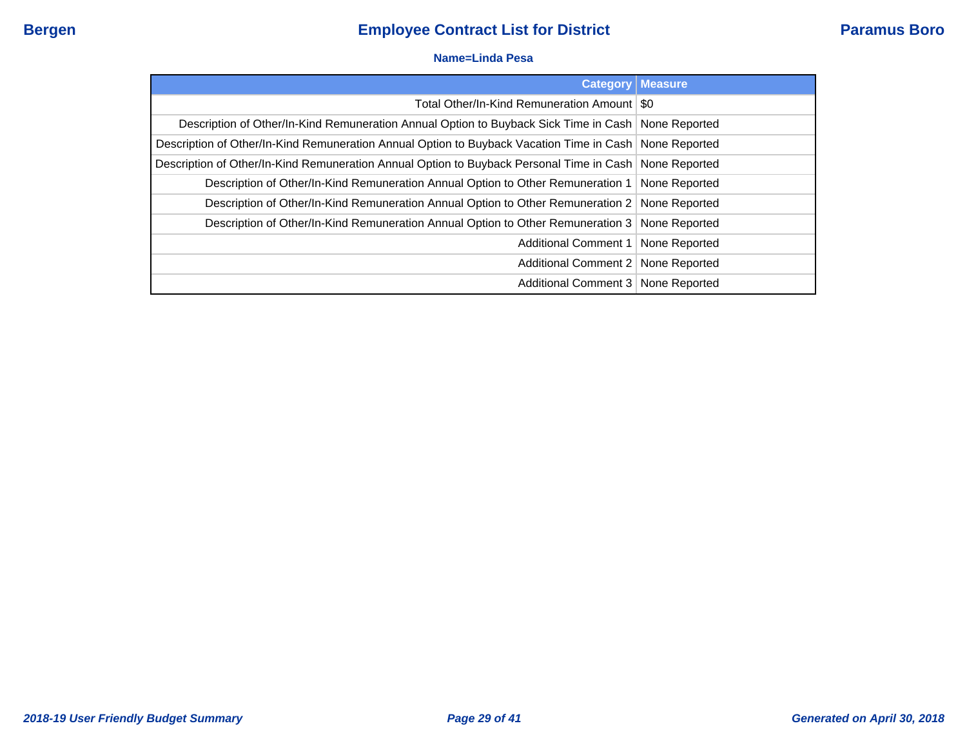#### **Name=Linda Pesa**

| <b>Category</b>                                                                                          | <b>Measure</b> |
|----------------------------------------------------------------------------------------------------------|----------------|
| Total Other/In-Kind Remuneration Amount   \$0                                                            |                |
| Description of Other/In-Kind Remuneration Annual Option to Buyback Sick Time in Cash   None Reported     |                |
| Description of Other/In-Kind Remuneration Annual Option to Buyback Vacation Time in Cash None Reported   |                |
| Description of Other/In-Kind Remuneration Annual Option to Buyback Personal Time in Cash   None Reported |                |
| Description of Other/In-Kind Remuneration Annual Option to Other Remuneration 1   None Reported          |                |
| Description of Other/In-Kind Remuneration Annual Option to Other Remuneration 2 None Reported            |                |
| Description of Other/In-Kind Remuneration Annual Option to Other Remuneration 3 None Reported            |                |
| Additional Comment 1   None Reported                                                                     |                |
| Additional Comment 2   None Reported                                                                     |                |
| Additional Comment 3   None Reported                                                                     |                |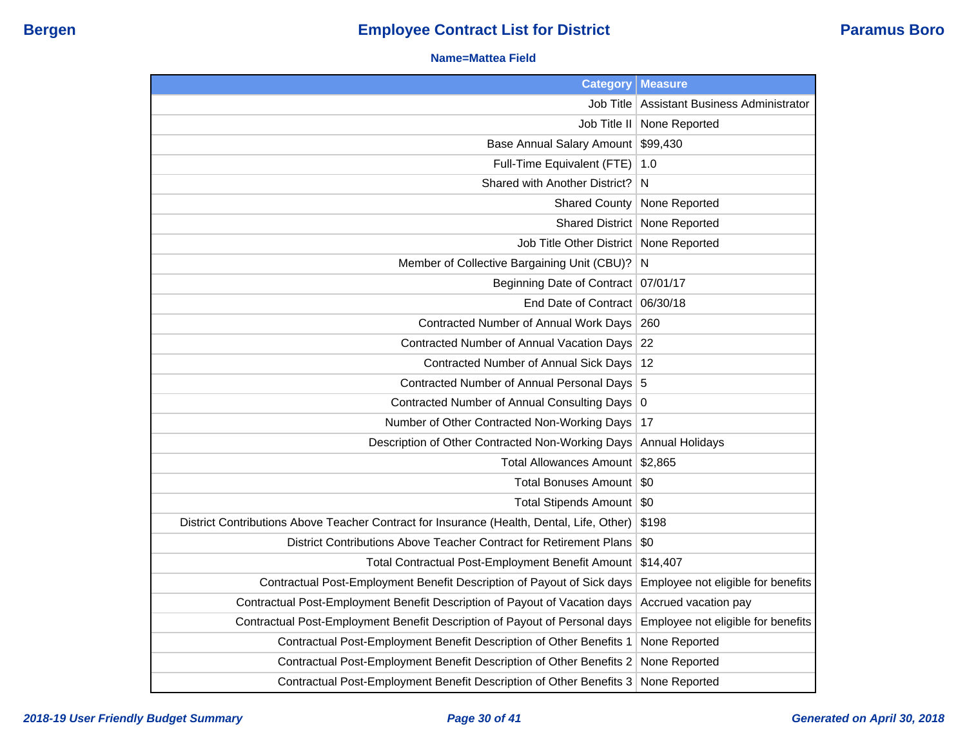#### **Name=Mattea Field**

| <b>Category</b>                                                                           | <b>Measure</b>                     |
|-------------------------------------------------------------------------------------------|------------------------------------|
| Job Title                                                                                 | Assistant Business Administrator   |
| Job Title II                                                                              | None Reported                      |
| Base Annual Salary Amount                                                                 | \$99,430                           |
| Full-Time Equivalent (FTE)                                                                | 1.0                                |
| Shared with Another District?                                                             | N                                  |
| <b>Shared County</b>                                                                      | None Reported                      |
| <b>Shared District</b>                                                                    | None Reported                      |
| Job Title Other District                                                                  | None Reported                      |
| Member of Collective Bargaining Unit (CBU)?                                               | $\mathsf{N}$                       |
| Beginning Date of Contract                                                                | 07/01/17                           |
| End Date of Contract                                                                      | 06/30/18                           |
| Contracted Number of Annual Work Days                                                     | 260                                |
| Contracted Number of Annual Vacation Days                                                 | 22                                 |
| Contracted Number of Annual Sick Days                                                     | 12                                 |
| Contracted Number of Annual Personal Days 5                                               |                                    |
| Contracted Number of Annual Consulting Days 0                                             |                                    |
| Number of Other Contracted Non-Working Days                                               | 17                                 |
| Description of Other Contracted Non-Working Days                                          | <b>Annual Holidays</b>             |
| <b>Total Allowances Amount</b>                                                            | \$2,865                            |
| <b>Total Bonuses Amount</b>                                                               | \$0                                |
| Total Stipends Amount                                                                     | \$0                                |
| District Contributions Above Teacher Contract for Insurance (Health, Dental, Life, Other) | \$198                              |
| District Contributions Above Teacher Contract for Retirement Plans                        | \$0                                |
| Total Contractual Post-Employment Benefit Amount                                          | \$14,407                           |
| Contractual Post-Employment Benefit Description of Payout of Sick days                    | Employee not eligible for benefits |
| Contractual Post-Employment Benefit Description of Payout of Vacation days                | Accrued vacation pay               |
| Contractual Post-Employment Benefit Description of Payout of Personal days                | Employee not eligible for benefits |
| Contractual Post-Employment Benefit Description of Other Benefits 1                       | None Reported                      |
| Contractual Post-Employment Benefit Description of Other Benefits 2                       | None Reported                      |
| Contractual Post-Employment Benefit Description of Other Benefits 3                       | None Reported                      |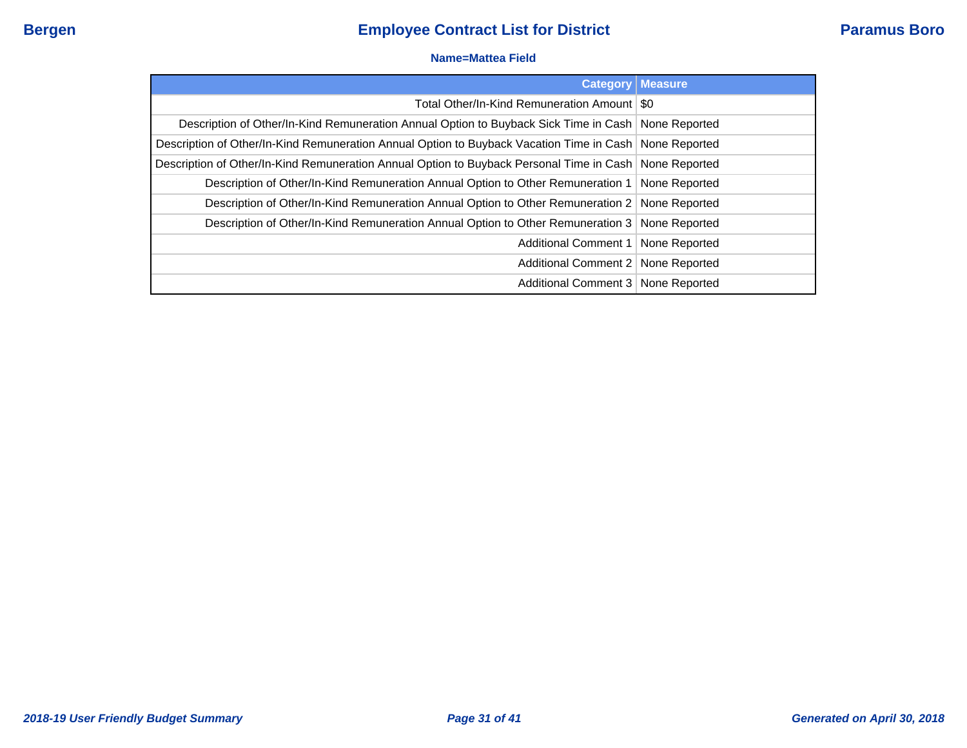#### **Name=Mattea Field**

| <b>Category</b>                                                                                          | <b>Measure</b> |
|----------------------------------------------------------------------------------------------------------|----------------|
| Total Other/In-Kind Remuneration Amount   \$0                                                            |                |
| Description of Other/In-Kind Remuneration Annual Option to Buyback Sick Time in Cash   None Reported     |                |
| Description of Other/In-Kind Remuneration Annual Option to Buyback Vacation Time in Cash None Reported   |                |
| Description of Other/In-Kind Remuneration Annual Option to Buyback Personal Time in Cash   None Reported |                |
| Description of Other/In-Kind Remuneration Annual Option to Other Remuneration 1   None Reported          |                |
| Description of Other/In-Kind Remuneration Annual Option to Other Remuneration 2 None Reported            |                |
| Description of Other/In-Kind Remuneration Annual Option to Other Remuneration 3 None Reported            |                |
| Additional Comment 1   None Reported                                                                     |                |
| Additional Comment 2   None Reported                                                                     |                |
| Additional Comment 3   None Reported                                                                     |                |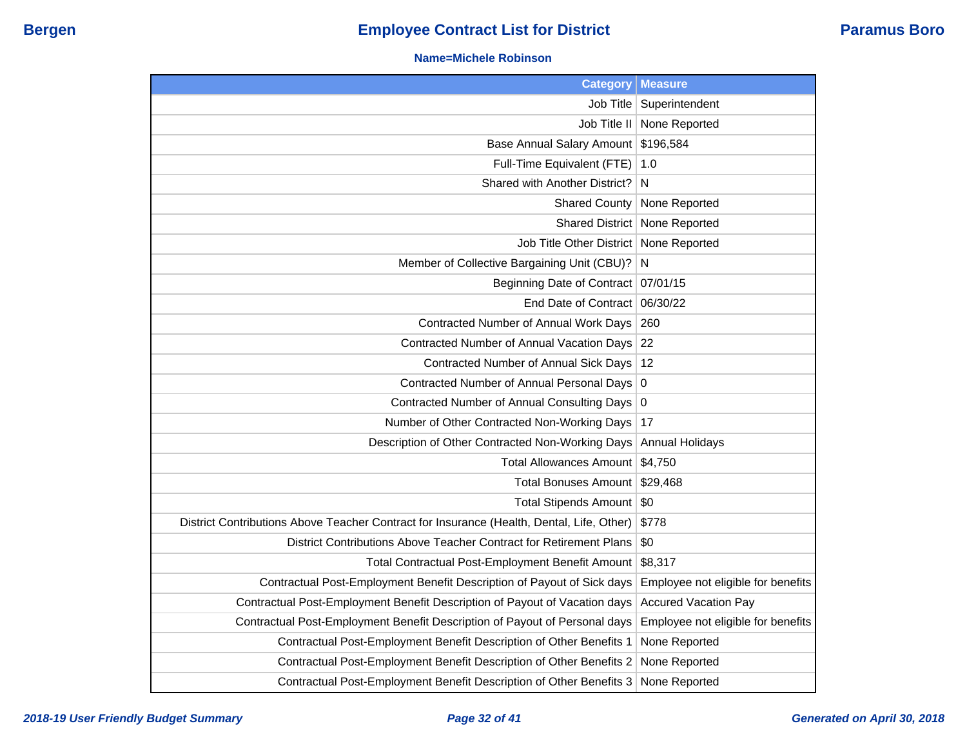#### **Name=Michele Robinson**

| <b>Category</b>                                                                           | <b>Measure</b>                     |
|-------------------------------------------------------------------------------------------|------------------------------------|
| Job Title                                                                                 | Superintendent                     |
| Job Title II                                                                              | None Reported                      |
| <b>Base Annual Salary Amount</b>                                                          | \$196,584                          |
| Full-Time Equivalent (FTE)                                                                | 1.0                                |
| Shared with Another District?                                                             | N                                  |
| <b>Shared County</b>                                                                      | None Reported                      |
| <b>Shared District</b>                                                                    | None Reported                      |
| Job Title Other District                                                                  | None Reported                      |
| Member of Collective Bargaining Unit (CBU)?                                               | N                                  |
| <b>Beginning Date of Contract</b>                                                         | 07/01/15                           |
| End Date of Contract                                                                      | 06/30/22                           |
| Contracted Number of Annual Work Days                                                     | 260                                |
| Contracted Number of Annual Vacation Days                                                 | 22                                 |
| Contracted Number of Annual Sick Days                                                     | 12                                 |
| Contracted Number of Annual Personal Days                                                 | $\overline{0}$                     |
| Contracted Number of Annual Consulting Days 0                                             |                                    |
| Number of Other Contracted Non-Working Days                                               | 17                                 |
| Description of Other Contracted Non-Working Days                                          | <b>Annual Holidays</b>             |
| <b>Total Allowances Amount</b>                                                            | \$4,750                            |
| <b>Total Bonuses Amount</b>                                                               | \$29,468                           |
| Total Stipends Amount   \$0                                                               |                                    |
| District Contributions Above Teacher Contract for Insurance (Health, Dental, Life, Other) | \$778                              |
| District Contributions Above Teacher Contract for Retirement Plans                        | \$0                                |
| Total Contractual Post-Employment Benefit Amount                                          | \$8,317                            |
| Contractual Post-Employment Benefit Description of Payout of Sick days                    | Employee not eligible for benefits |
| Contractual Post-Employment Benefit Description of Payout of Vacation days                | <b>Accured Vacation Pay</b>        |
| Contractual Post-Employment Benefit Description of Payout of Personal days                | Employee not eligible for benefits |
| Contractual Post-Employment Benefit Description of Other Benefits 1                       | None Reported                      |
| Contractual Post-Employment Benefit Description of Other Benefits 2                       | None Reported                      |
| Contractual Post-Employment Benefit Description of Other Benefits 3                       | None Reported                      |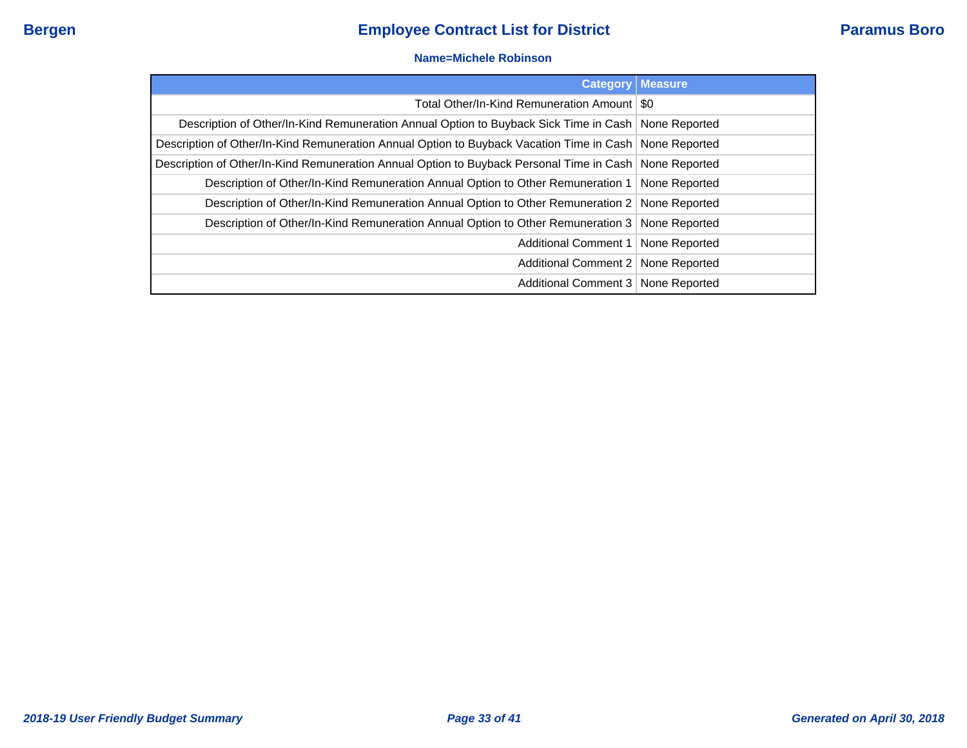#### **Name=Michele Robinson**

| <b>Category</b>                                                                                          | <b>Measure</b> |
|----------------------------------------------------------------------------------------------------------|----------------|
| Total Other/In-Kind Remuneration Amount   \$0                                                            |                |
| Description of Other/In-Kind Remuneration Annual Option to Buyback Sick Time in Cash   None Reported     |                |
| Description of Other/In-Kind Remuneration Annual Option to Buyback Vacation Time in Cash   None Reported |                |
| Description of Other/In-Kind Remuneration Annual Option to Buyback Personal Time in Cash None Reported   |                |
| Description of Other/In-Kind Remuneration Annual Option to Other Remuneration 1   None Reported          |                |
| Description of Other/In-Kind Remuneration Annual Option to Other Remuneration 2   None Reported          |                |
| Description of Other/In-Kind Remuneration Annual Option to Other Remuneration 3 None Reported            |                |
| Additional Comment 1   None Reported                                                                     |                |
| Additional Comment 2   None Reported                                                                     |                |
| Additional Comment 3   None Reported                                                                     |                |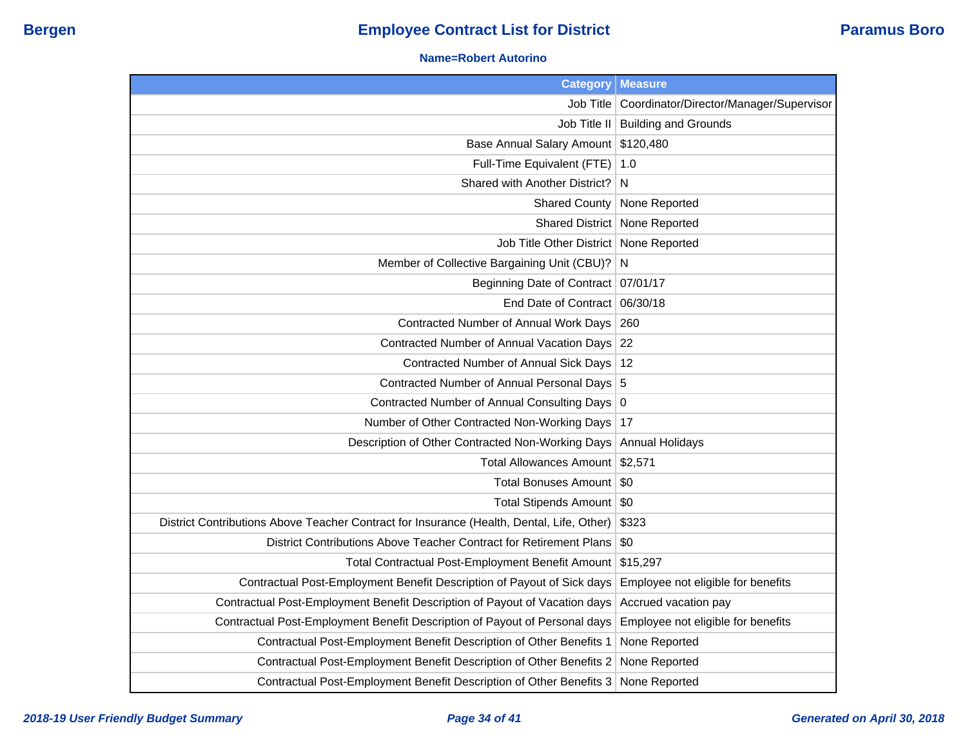### **Name=Robert Autorino**

| <b>Category</b>                                                                           | <b>Measure</b>                          |
|-------------------------------------------------------------------------------------------|-----------------------------------------|
| Job Title                                                                                 | Coordinator/Director/Manager/Supervisor |
|                                                                                           | Job Title II   Building and Grounds     |
| Base Annual Salary Amount   \$120,480                                                     |                                         |
| Full-Time Equivalent (FTE)                                                                | 1.0                                     |
| Shared with Another District?                                                             | N                                       |
| <b>Shared County</b>                                                                      | None Reported                           |
|                                                                                           | Shared District   None Reported         |
| Job Title Other District   None Reported                                                  |                                         |
| Member of Collective Bargaining Unit (CBU)?                                               | N                                       |
| Beginning Date of Contract   07/01/17                                                     |                                         |
| End Date of Contract 06/30/18                                                             |                                         |
| Contracted Number of Annual Work Days                                                     | 260                                     |
| Contracted Number of Annual Vacation Days 22                                              |                                         |
| Contracted Number of Annual Sick Days   12                                                |                                         |
| Contracted Number of Annual Personal Days 5                                               |                                         |
| Contracted Number of Annual Consulting Days 0                                             |                                         |
| Number of Other Contracted Non-Working Days                                               | 17                                      |
| Description of Other Contracted Non-Working Days                                          | Annual Holidays                         |
| Total Allowances Amount \$2,571                                                           |                                         |
| Total Bonuses Amount   \$0                                                                |                                         |
| Total Stipends Amount   \$0                                                               |                                         |
| District Contributions Above Teacher Contract for Insurance (Health, Dental, Life, Other) | \$323                                   |
| District Contributions Above Teacher Contract for Retirement Plans                        | \$0                                     |
| Total Contractual Post-Employment Benefit Amount                                          | \$15,297                                |
| Contractual Post-Employment Benefit Description of Payout of Sick days                    | Employee not eligible for benefits      |
| Contractual Post-Employment Benefit Description of Payout of Vacation days                | Accrued vacation pay                    |
| Contractual Post-Employment Benefit Description of Payout of Personal days                | Employee not eligible for benefits      |
| Contractual Post-Employment Benefit Description of Other Benefits 1                       | None Reported                           |
| Contractual Post-Employment Benefit Description of Other Benefits 2                       | None Reported                           |
| Contractual Post-Employment Benefit Description of Other Benefits 3                       | None Reported                           |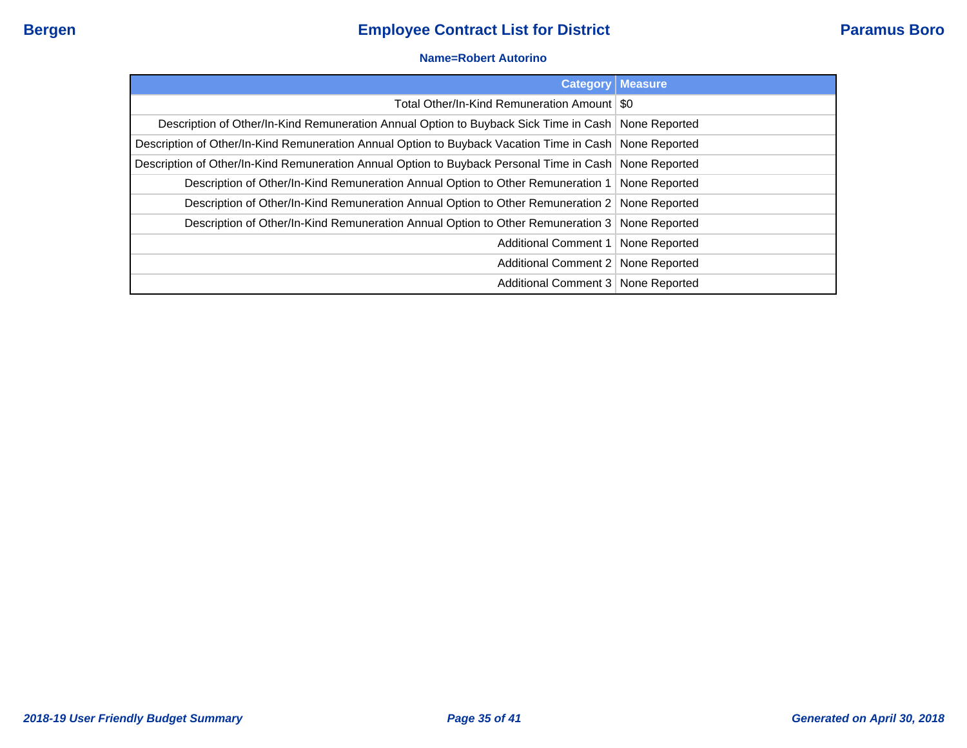#### **Name=Robert Autorino**

|                                                                                                        | <b>Category   Measure</b> |
|--------------------------------------------------------------------------------------------------------|---------------------------|
| Total Other/In-Kind Remuneration Amount   \$0                                                          |                           |
| Description of Other/In-Kind Remuneration Annual Option to Buyback Sick Time in Cash   None Reported   |                           |
| Description of Other/In-Kind Remuneration Annual Option to Buyback Vacation Time in Cash None Reported |                           |
| Description of Other/In-Kind Remuneration Annual Option to Buyback Personal Time in Cash None Reported |                           |
| Description of Other/In-Kind Remuneration Annual Option to Other Remuneration 1                        | None Reported             |
| Description of Other/In-Kind Remuneration Annual Option to Other Remuneration 2 None Reported          |                           |
| Description of Other/In-Kind Remuneration Annual Option to Other Remuneration 3 None Reported          |                           |
| Additional Comment 1                                                                                   | None Reported             |
| Additional Comment 2   None Reported                                                                   |                           |
| Additional Comment 3 None Reported                                                                     |                           |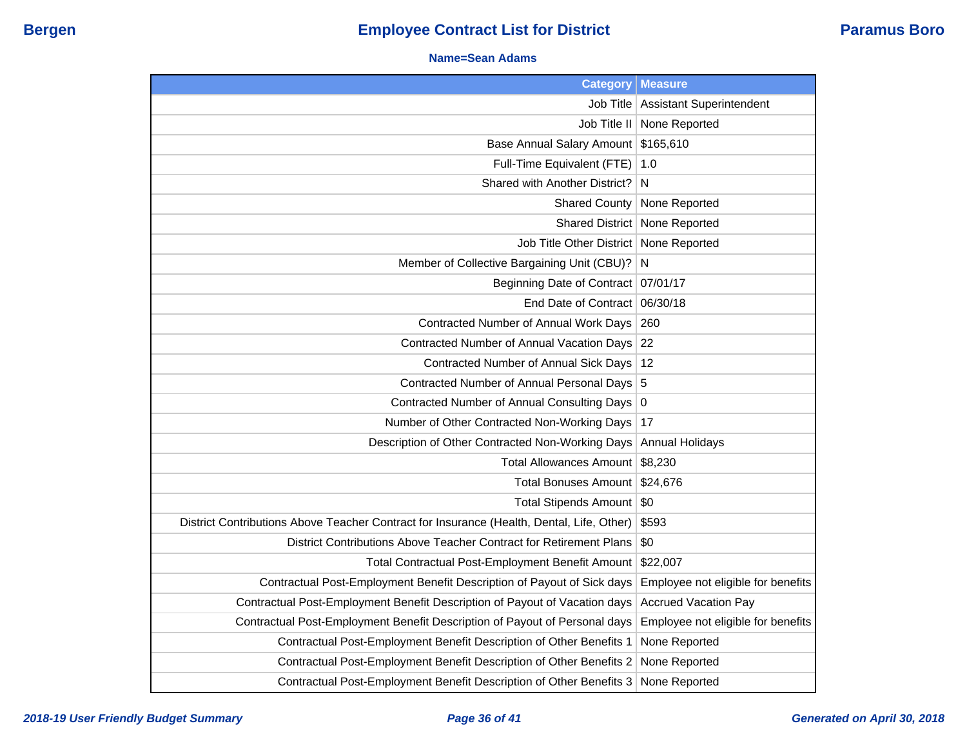#### **Name=Sean Adams**

| <b>Category</b>                                                                           | <b>Measure</b>                     |
|-------------------------------------------------------------------------------------------|------------------------------------|
| Job Title                                                                                 | <b>Assistant Superintendent</b>    |
| Job Title II                                                                              | None Reported                      |
| <b>Base Annual Salary Amount</b>                                                          | \$165,610                          |
| Full-Time Equivalent (FTE)                                                                | 1.0                                |
| Shared with Another District?                                                             | N                                  |
| <b>Shared County</b>                                                                      | None Reported                      |
| <b>Shared District</b>                                                                    | None Reported                      |
| Job Title Other District                                                                  | None Reported                      |
| Member of Collective Bargaining Unit (CBU)?                                               | N                                  |
| <b>Beginning Date of Contract</b>                                                         | 07/01/17                           |
| End Date of Contract                                                                      | 06/30/18                           |
| Contracted Number of Annual Work Days                                                     | 260                                |
| Contracted Number of Annual Vacation Days                                                 | 22                                 |
| <b>Contracted Number of Annual Sick Days</b>                                              | 12                                 |
| Contracted Number of Annual Personal Days 5                                               |                                    |
| Contracted Number of Annual Consulting Days                                               | $\overline{0}$                     |
| Number of Other Contracted Non-Working Days                                               | 17                                 |
| Description of Other Contracted Non-Working Days                                          | <b>Annual Holidays</b>             |
| <b>Total Allowances Amount</b>                                                            | \$8,230                            |
| <b>Total Bonuses Amount</b>                                                               | \$24,676                           |
| <b>Total Stipends Amount</b>                                                              | $\sqrt{50}$                        |
| District Contributions Above Teacher Contract for Insurance (Health, Dental, Life, Other) | \$593                              |
| District Contributions Above Teacher Contract for Retirement Plans                        | \$0                                |
| Total Contractual Post-Employment Benefit Amount                                          | \$22,007                           |
| Contractual Post-Employment Benefit Description of Payout of Sick days                    | Employee not eligible for benefits |
| Contractual Post-Employment Benefit Description of Payout of Vacation days                | <b>Accrued Vacation Pay</b>        |
| Contractual Post-Employment Benefit Description of Payout of Personal days                | Employee not eligible for benefits |
| Contractual Post-Employment Benefit Description of Other Benefits 1                       | None Reported                      |
| Contractual Post-Employment Benefit Description of Other Benefits 2                       | None Reported                      |
| Contractual Post-Employment Benefit Description of Other Benefits 3                       | None Reported                      |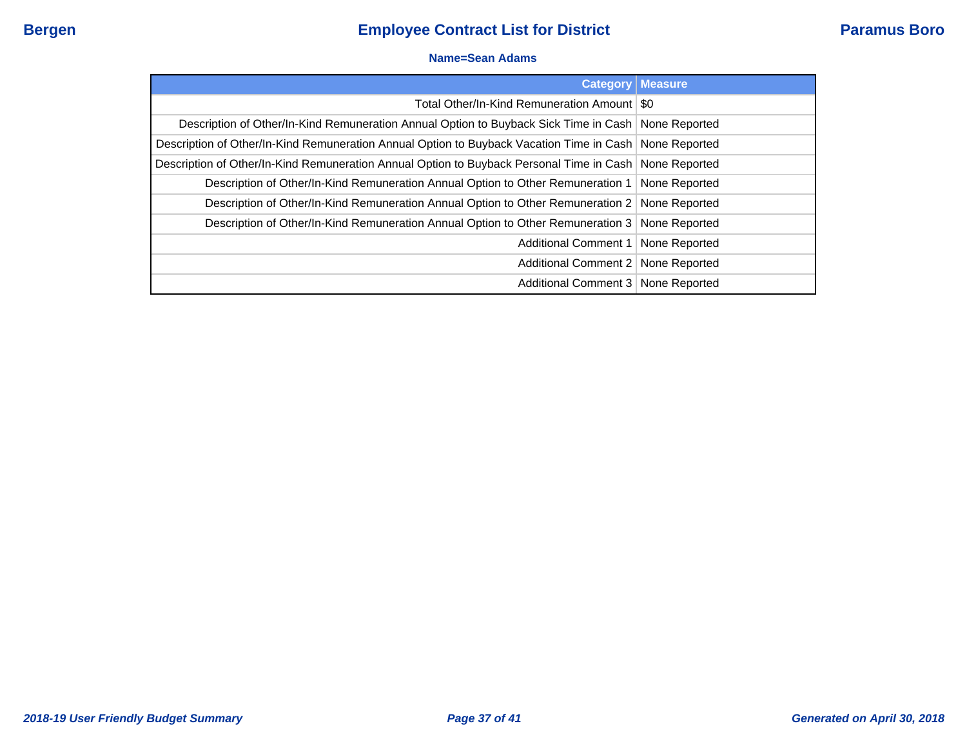#### **Name=Sean Adams**

| <b>Category</b>                                                                                          | <b>Measure</b> |
|----------------------------------------------------------------------------------------------------------|----------------|
| Total Other/In-Kind Remuneration Amount   \$0                                                            |                |
| Description of Other/In-Kind Remuneration Annual Option to Buyback Sick Time in Cash   None Reported     |                |
| Description of Other/In-Kind Remuneration Annual Option to Buyback Vacation Time in Cash   None Reported |                |
| Description of Other/In-Kind Remuneration Annual Option to Buyback Personal Time in Cash   None Reported |                |
| Description of Other/In-Kind Remuneration Annual Option to Other Remuneration 1   None Reported          |                |
| Description of Other/In-Kind Remuneration Annual Option to Other Remuneration 2   None Reported          |                |
| Description of Other/In-Kind Remuneration Annual Option to Other Remuneration 3 None Reported            |                |
| Additional Comment 1   None Reported                                                                     |                |
| Additional Comment 2   None Reported                                                                     |                |
| Additional Comment 3   None Reported                                                                     |                |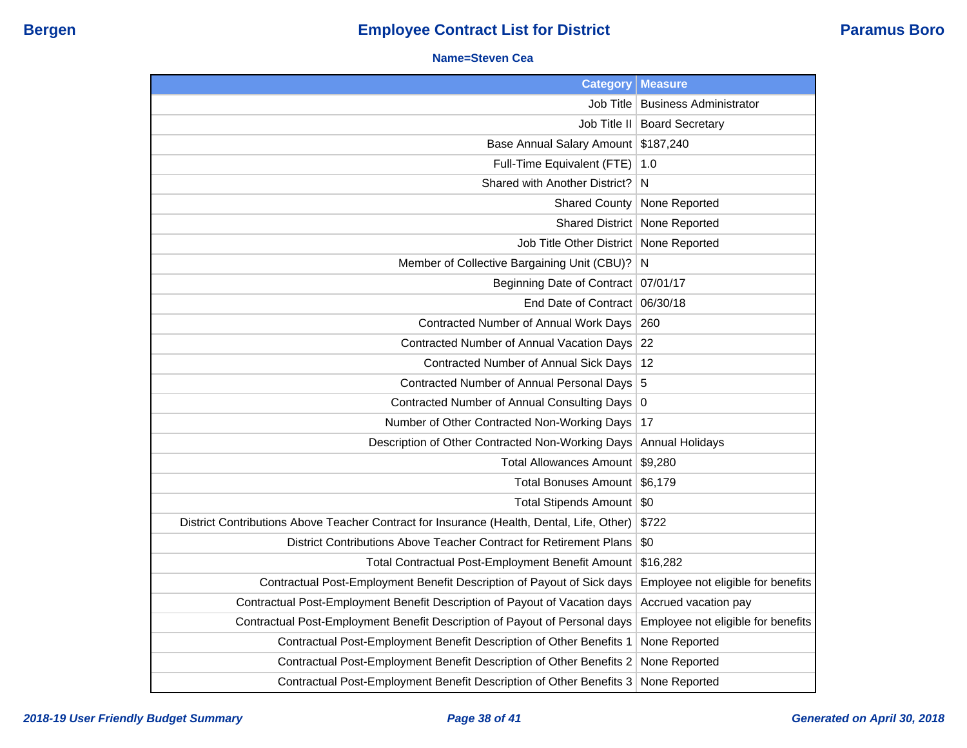#### **Name=Steven Cea**

| <b>Category</b>                                                                           | <b>Measure</b>                     |
|-------------------------------------------------------------------------------------------|------------------------------------|
| Job Title                                                                                 | <b>Business Administrator</b>      |
| Job Title II                                                                              | <b>Board Secretary</b>             |
| <b>Base Annual Salary Amount</b>                                                          | \$187,240                          |
| Full-Time Equivalent (FTE)                                                                | 1.0                                |
| Shared with Another District?                                                             | N                                  |
| <b>Shared County</b>                                                                      | None Reported                      |
| <b>Shared District</b>                                                                    | None Reported                      |
| Job Title Other District                                                                  | None Reported                      |
| Member of Collective Bargaining Unit (CBU)?                                               | N                                  |
| <b>Beginning Date of Contract</b>                                                         | 07/01/17                           |
| End Date of Contract                                                                      | 06/30/18                           |
| Contracted Number of Annual Work Days                                                     | 260                                |
| Contracted Number of Annual Vacation Days                                                 | 22                                 |
| Contracted Number of Annual Sick Days                                                     | 12                                 |
| Contracted Number of Annual Personal Days 5                                               |                                    |
| Contracted Number of Annual Consulting Days                                               | $\overline{0}$                     |
| Number of Other Contracted Non-Working Days                                               | 17                                 |
| Description of Other Contracted Non-Working Days                                          | <b>Annual Holidays</b>             |
| <b>Total Allowances Amount</b>                                                            | \$9,280                            |
| <b>Total Bonuses Amount</b>                                                               | \$6,179                            |
| <b>Total Stipends Amount</b>                                                              | $\sqrt{50}$                        |
| District Contributions Above Teacher Contract for Insurance (Health, Dental, Life, Other) | \$722                              |
| District Contributions Above Teacher Contract for Retirement Plans                        | \$0                                |
| Total Contractual Post-Employment Benefit Amount                                          | \$16,282                           |
| Contractual Post-Employment Benefit Description of Payout of Sick days                    | Employee not eligible for benefits |
| Contractual Post-Employment Benefit Description of Payout of Vacation days                | Accrued vacation pay               |
| Contractual Post-Employment Benefit Description of Payout of Personal days                | Employee not eligible for benefits |
| Contractual Post-Employment Benefit Description of Other Benefits 1                       | None Reported                      |
| Contractual Post-Employment Benefit Description of Other Benefits 2                       | None Reported                      |
| Contractual Post-Employment Benefit Description of Other Benefits 3                       | None Reported                      |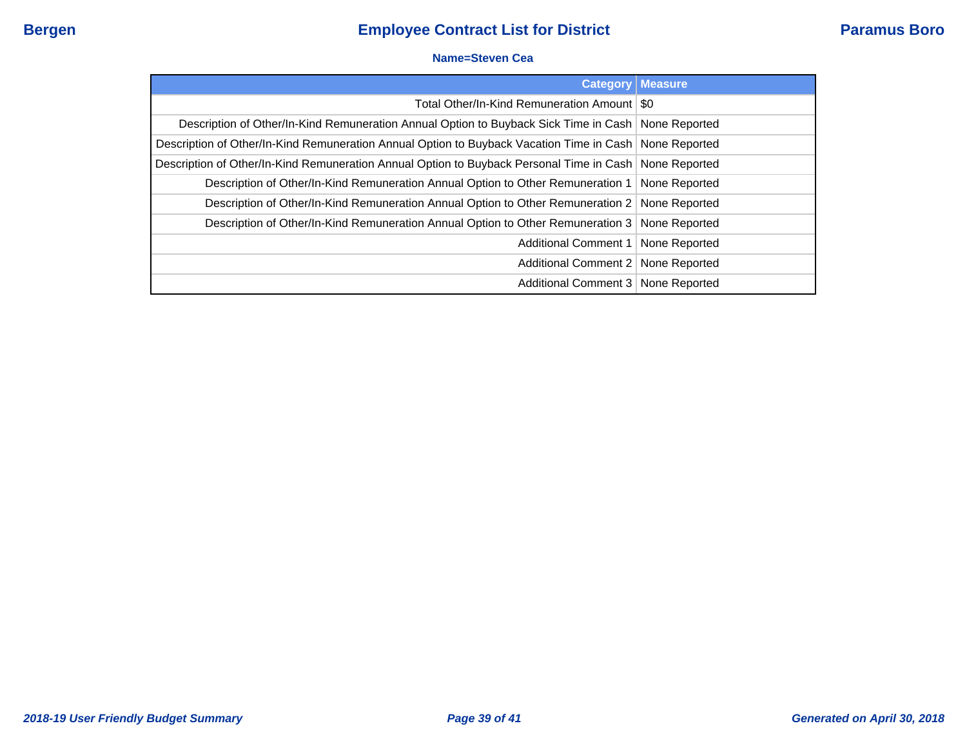#### **Name=Steven Cea**

| <b>Category</b>                                                                                          | <b>Measure</b> |
|----------------------------------------------------------------------------------------------------------|----------------|
| Total Other/In-Kind Remuneration Amount   \$0                                                            |                |
| Description of Other/In-Kind Remuneration Annual Option to Buyback Sick Time in Cash   None Reported     |                |
| Description of Other/In-Kind Remuneration Annual Option to Buyback Vacation Time in Cash   None Reported |                |
| Description of Other/In-Kind Remuneration Annual Option to Buyback Personal Time in Cash   None Reported |                |
| Description of Other/In-Kind Remuneration Annual Option to Other Remuneration 1   None Reported          |                |
| Description of Other/In-Kind Remuneration Annual Option to Other Remuneration 2 None Reported            |                |
| Description of Other/In-Kind Remuneration Annual Option to Other Remuneration 3 None Reported            |                |
| Additional Comment 1   None Reported                                                                     |                |
| Additional Comment 2   None Reported                                                                     |                |
| Additional Comment 3   None Reported                                                                     |                |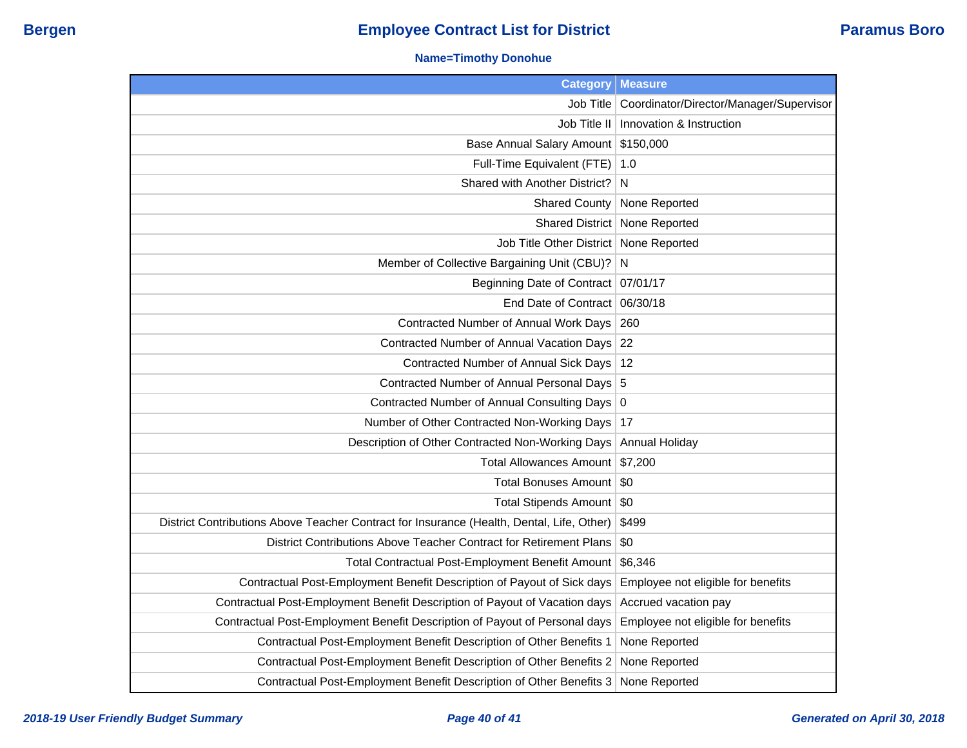### **Name=Timothy Donohue**

| <b>Category</b>                                                                           | <b>Measure</b>                          |
|-------------------------------------------------------------------------------------------|-----------------------------------------|
| Job Title                                                                                 | Coordinator/Director/Manager/Supervisor |
| Job Title II                                                                              | Innovation & Instruction                |
| Base Annual Salary Amount                                                                 | \$150,000                               |
| Full-Time Equivalent (FTE)                                                                | 1.0                                     |
| Shared with Another District?                                                             | N                                       |
| <b>Shared County</b>                                                                      | None Reported                           |
|                                                                                           | Shared District   None Reported         |
| Job Title Other District                                                                  | None Reported                           |
| Member of Collective Bargaining Unit (CBU)?                                               | N                                       |
| Beginning Date of Contract   07/01/17                                                     |                                         |
| End Date of Contract                                                                      | 06/30/18                                |
| Contracted Number of Annual Work Days                                                     | 260                                     |
| Contracted Number of Annual Vacation Days                                                 | 22                                      |
| Contracted Number of Annual Sick Days                                                     | 12                                      |
| Contracted Number of Annual Personal Days 5                                               |                                         |
| Contracted Number of Annual Consulting Days 0                                             |                                         |
| Number of Other Contracted Non-Working Days                                               | 17                                      |
| Description of Other Contracted Non-Working Days                                          | Annual Holiday                          |
| Total Allowances Amount   \$7,200                                                         |                                         |
| <b>Total Bonuses Amount</b>                                                               | \$0                                     |
| <b>Total Stipends Amount</b>                                                              | -\$0                                    |
| District Contributions Above Teacher Contract for Insurance (Health, Dental, Life, Other) | \$499                                   |
| District Contributions Above Teacher Contract for Retirement Plans                        | \$0                                     |
| Total Contractual Post-Employment Benefit Amount                                          | \$6,346                                 |
| Contractual Post-Employment Benefit Description of Payout of Sick days                    | Employee not eligible for benefits      |
| Contractual Post-Employment Benefit Description of Payout of Vacation days                | Accrued vacation pay                    |
| Contractual Post-Employment Benefit Description of Payout of Personal days                | Employee not eligible for benefits      |
| Contractual Post-Employment Benefit Description of Other Benefits 1                       | None Reported                           |
| Contractual Post-Employment Benefit Description of Other Benefits 2                       | None Reported                           |
| Contractual Post-Employment Benefit Description of Other Benefits 3                       | None Reported                           |